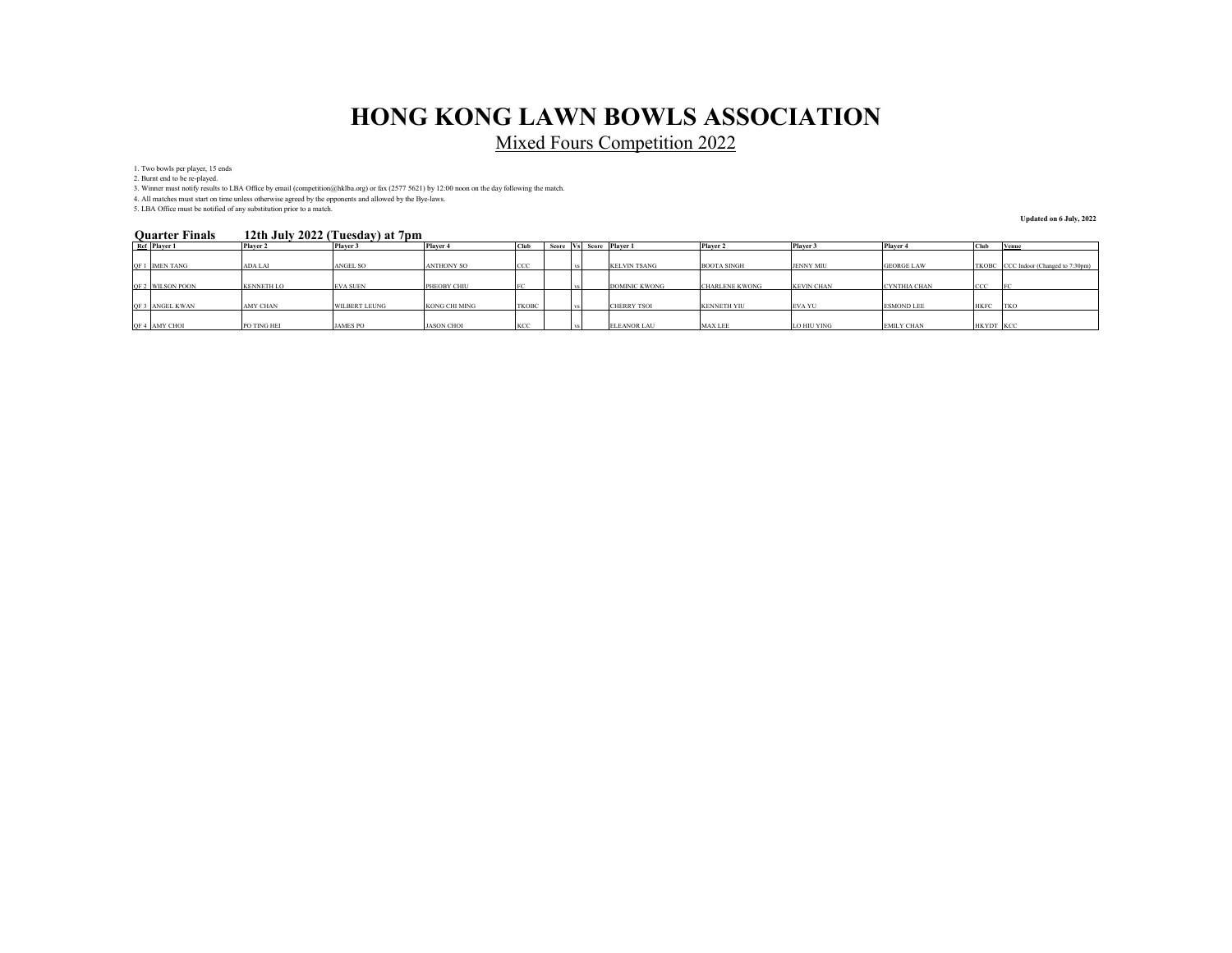Mixed Fours Competition 2022

1. Two bowls per player, 15 ends

2. Burnt end to be re-played.

3. Winner must notify results to LBA Office by email (competition@hklba.org) or fax (2577 5621) by 12:00 noon on the day following the match.

4. All matches must start on time unless otherwise agreed by the opponents and allowed by the Bye-laws. 5. LBA Office must be notified of any substitution prior to a match.

#### **12th July 2022 (Tuesday) at 7pm Quarter Finals**

**Updated on 6 July, 2022**

| <b>Quarter Finals</b> | 12th July 2022 (Tuesday) at 7 pm |                      |                      |              |       |         |  |                      |                       |                   |                     |             |                                      |
|-----------------------|----------------------------------|----------------------|----------------------|--------------|-------|---------|--|----------------------|-----------------------|-------------------|---------------------|-------------|--------------------------------------|
| Ref Player 1          | Player 2                         | Player 3             | Player 4             | Club         | Score | . ⊣Vs⊑≏ |  | Score Player 1       | Player 2              | Player 3          | Player 4            | Club        | Venue                                |
|                       |                                  |                      |                      |              |       |         |  |                      |                       |                   |                     |             |                                      |
| QF 1 IMEN TANG        | <b>ADA LAI</b>                   | <b>ANGEL SO</b>      | <b>ANTHONY SO</b>    | CCC          |       |         |  | <b>KELVIN TSANG</b>  | <b>BOOTA SINGH</b>    | <b>JENNY MIU</b>  | <b>GEORGE LAW</b>   |             | TKOBC CCC Indoor (Changed to 7:30pm) |
|                       |                                  |                      |                      |              |       |         |  |                      |                       |                   |                     |             |                                      |
| QF 2 WILSON POON      | <b>KENNETH LO</b>                | <b>EVA SUEN</b>      | PHEOBY CHIU          |              |       |         |  | <b>DOMINIC KWONG</b> | <b>CHARLENE KWONG</b> | <b>KEVIN CHAN</b> | <b>CYNTHIA CHAN</b> | <b>CCC</b>  |                                      |
|                       |                                  |                      |                      |              |       |         |  |                      |                       |                   |                     |             |                                      |
| OF 3 ANGEL KWAN       | <b>AMY CHAN</b>                  | <b>WILBERT LEUNG</b> | <b>KONG CHI MING</b> | <b>TKOBC</b> |       |         |  | <b>CHERRY TSOI</b>   | <b>KENNETH YIU</b>    | <b>EVA YU</b>     | <b>ESMOND LEE</b>   | <b>HKFC</b> | <b>TKO</b>                           |
|                       |                                  |                      |                      |              |       |         |  |                      |                       |                   |                     |             |                                      |
| QF 4 AMY CHOI         | PO TING HEI                      | <b>JAMES PO</b>      | <b>JASON CHOI</b>    | KCC          |       |         |  | <b>ELEANOR LAU</b>   | <b>MAX LEE</b>        | LO HIU YING       | <b>EMILY CHAN</b>   | HKYDT KCC   |                                      |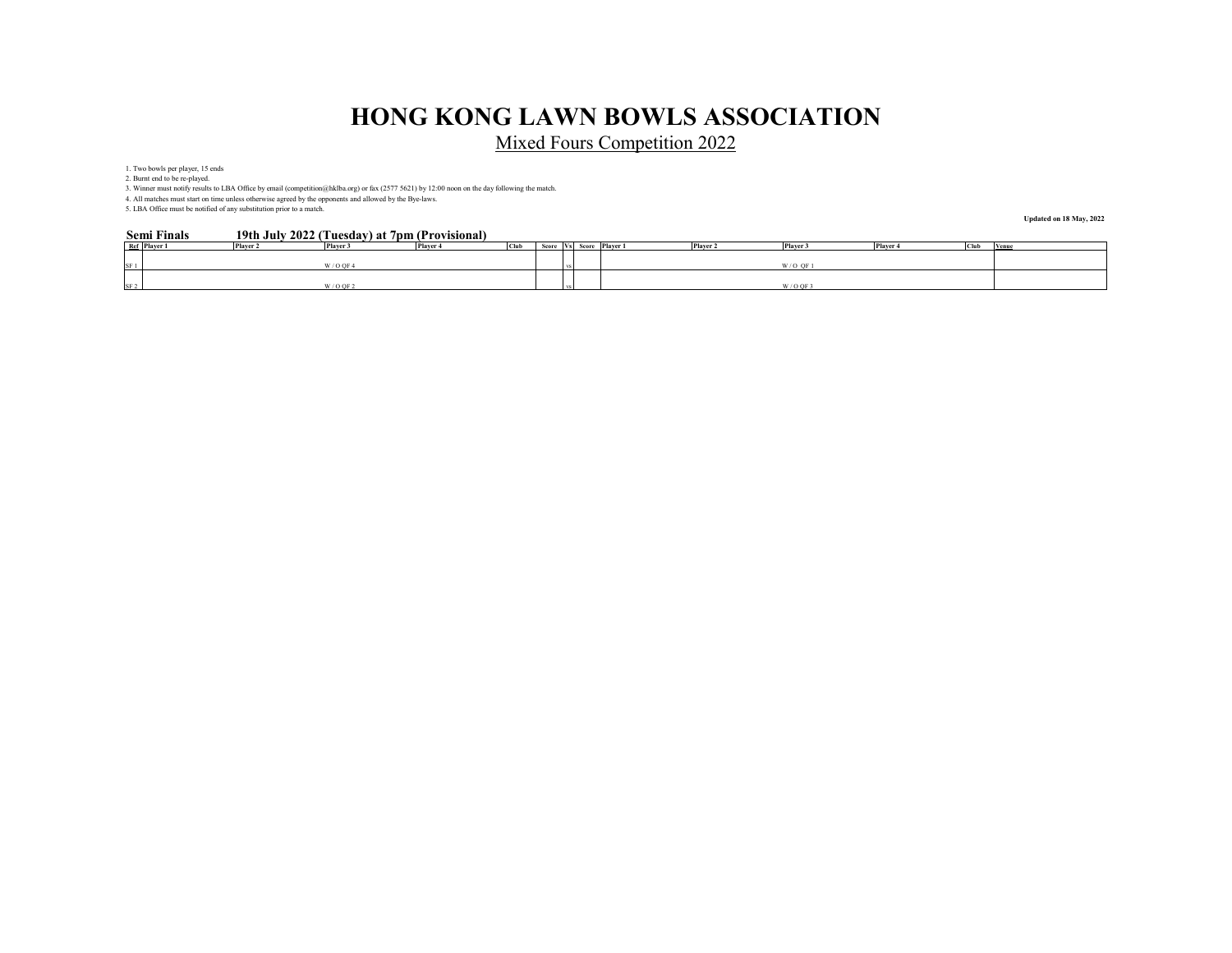Mixed Fours Competition 2022

1. Two bowls per player, 15 ends

2. Burnt end to be re-played.

3. Winner must notify results to LBA Office by email (competition@hklba.org) or fax (2577 5621) by 12:00 noon on the day following the match.

4. All matches must start on time unless otherwise agreed by the opponents and allowed by the Bye-laws. 5. LBA Office must be notified of any substitution prior to a match.

#### **19th July 2022 (Tuesday) at 7pm (Provisional) Semi Finals**

**Updated on 18 May, 2022**

| Ref Player 1    | Player 2 | Player 3              | Player 4 | <b>Club</b> |  | Player 2<br>Score Vs Score Player 1 | ---<br>Player 3 | Player 4 | Club | Venu |
|-----------------|----------|-----------------------|----------|-------------|--|-------------------------------------|-----------------|----------|------|------|
|                 |          |                       |          |             |  |                                     |                 |          |      |      |
| SF 1            |          | $W/OO$ F <sup>2</sup> |          |             |  |                                     | $W/O$ OF        |          |      |      |
|                 |          |                       |          |             |  |                                     |                 |          |      |      |
| SF <sub>2</sub> |          | $W/O$ OF 2            |          |             |  |                                     | W/OO            |          |      |      |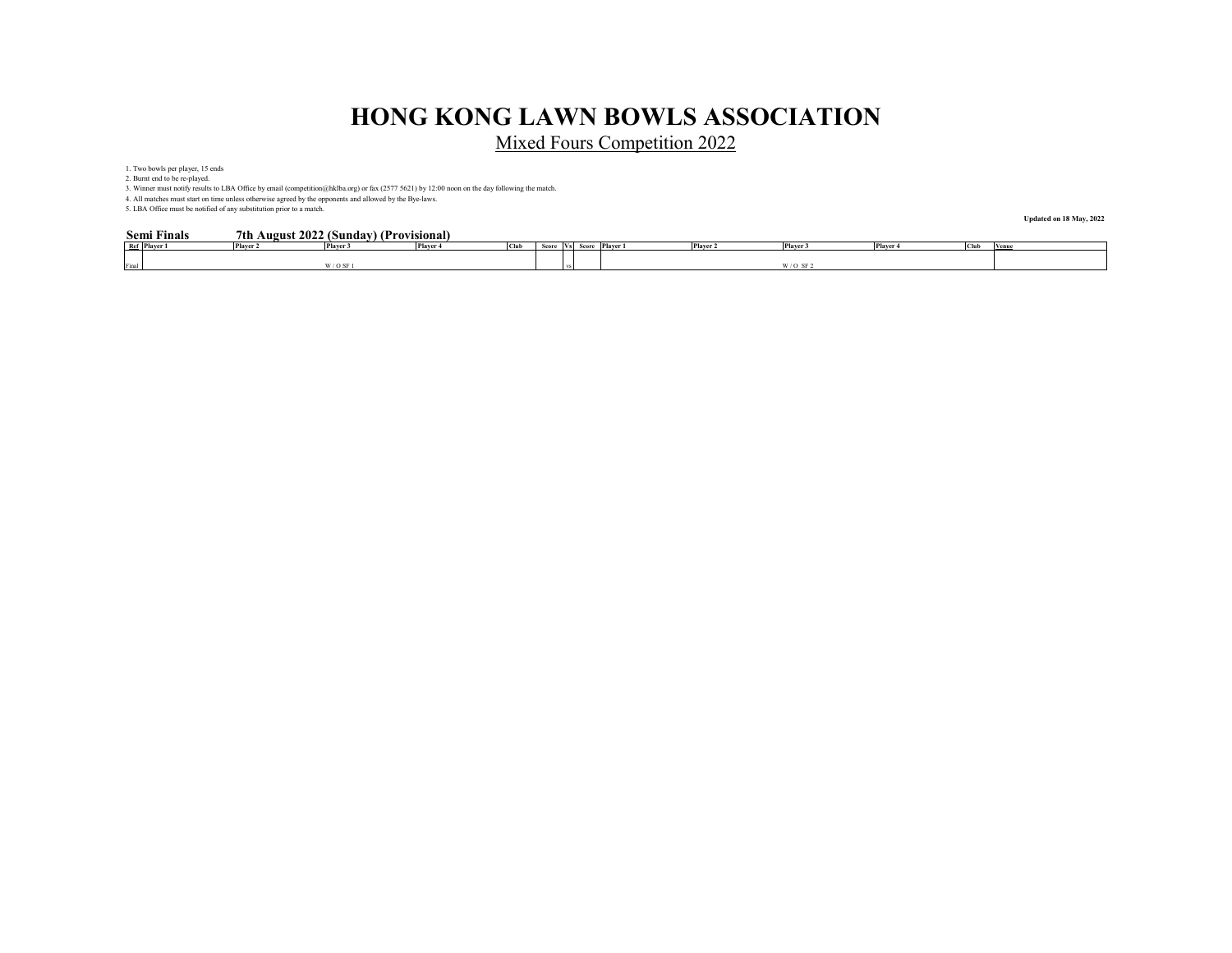Mixed Fours Competition 2022

1. Two bowls per player, 15 ends

2. Burnt end to be re-played.

3. Winner must notify results to LBA Office by email (competition@hklba.org) or fax (2577 5621) by 12:00 noon on the day following the match.

4. All matches must start on time unless otherwise agreed by the opponents and allowed by the Bye-laws. 5. LBA Office must be notified of any substitution prior to a match.

#### **7th August 2022 (Sunday) (Provisional) Semi Finals**

**Updated on 18 May, 2022**

|       | эсни г шаю   |                 | $\mu$ and $\mu$ and $\mu$ and $\mu$ and $\mu$ and $\mu$ and $\mu$ |          |                    |      |        |       |          |          |              |          |            |             |
|-------|--------------|-----------------|-------------------------------------------------------------------|----------|--------------------|------|--------|-------|----------|----------|--------------|----------|------------|-------------|
|       | Ref Player 1 | <b>Player 2</b> | Player 3                                                          | Player 4 | <b>COL 3</b><br>uu | Scor | l VSI. | Score | Player 1 | Player 2 | Player 3     | Player 4 | . <u>.</u> | <b>Venu</b> |
|       |              |                 |                                                                   |          |                    |      |        |       |          |          |              |          |            |             |
| Final |              |                 | $/$ O SF                                                          |          |                    |      |        |       |          |          | WLL.<br>e E. |          |            |             |
|       |              |                 |                                                                   |          |                    |      |        |       |          |          |              |          |            |             |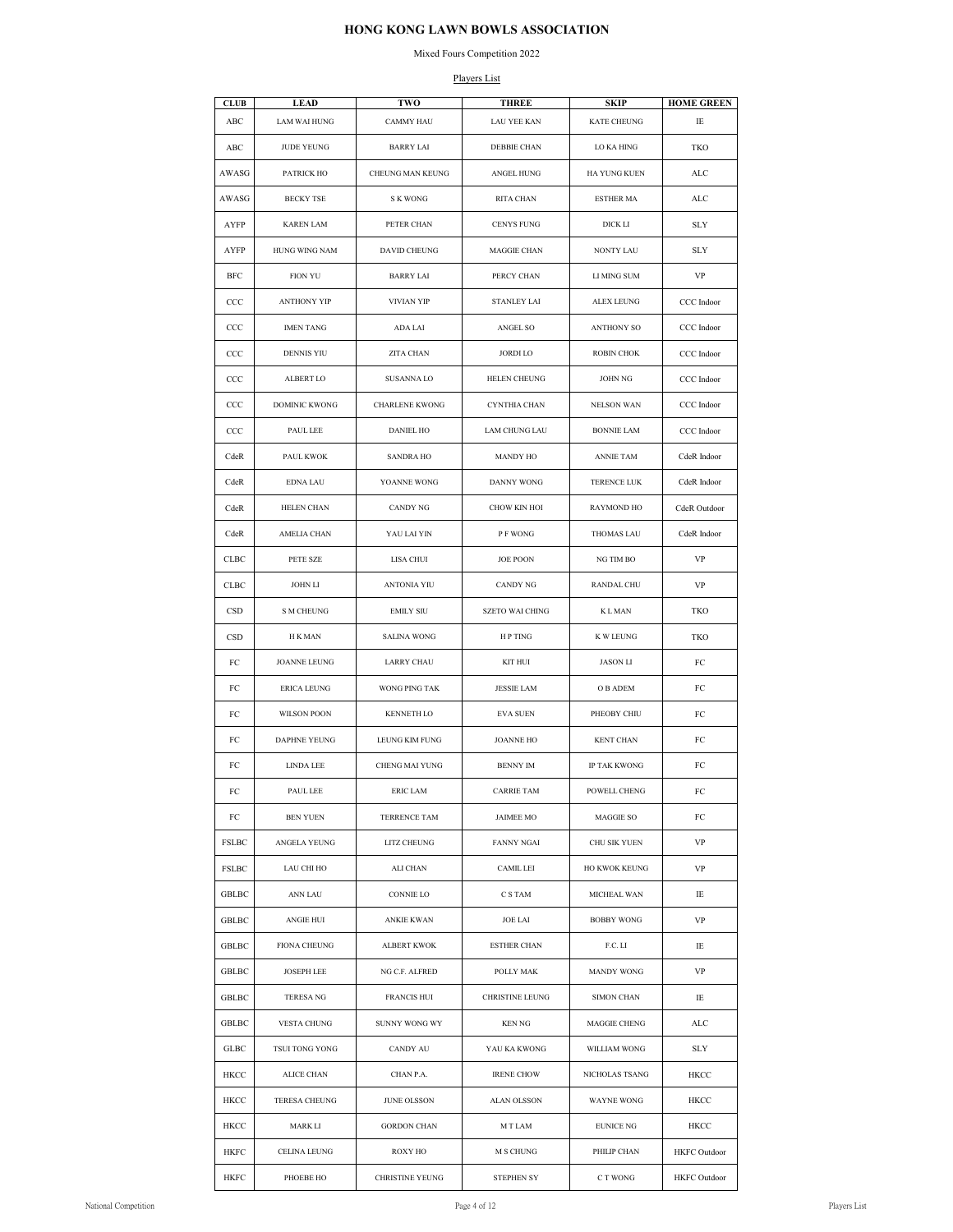### Mixed Fours Competition 2022

### Players List

| KATE CHEUNG<br>ABC<br>LAM WAI HUNG<br><b>CAMMY HAU</b><br>LAU YEE KAN<br>IE<br>JUDE YEUNG<br><b>BARRY LAI</b><br>DEBBIE CHAN<br>LO KA HING<br>ABC<br>TKO<br>AWASG<br>PATRICK HO<br>CHEUNG MAN KEUNG<br>ANGEL HUNG<br>HA YUNG KUEN<br>ALC<br>AWASG<br><b>BECKY TSE</b><br>S K WONG<br>RITA CHAN<br>ESTHER MA<br>ALC<br><b>KAREN LAM</b><br>PETER CHAN<br><b>CENYS FUNG</b><br>DICK LI<br><b>SLY</b><br>AYFP<br>AYFP<br>HUNG WING NAM<br>DAVID CHEUNG<br>MAGGIE CHAN<br>NONTY LAU<br><b>SLY</b><br>BFC<br>FION YU<br><b>BARRY LAI</b><br>PERCY CHAN<br>LI MING SUM<br>VP<br>$_{\rm CCC}$<br>ANTHONY YIP<br>VIVIAN YIP<br><b>STANLEY LAI</b><br>ALEX LEUNG<br>CCC Indoor<br>$_{\rm CCC}$<br><b>IMEN TANG</b><br>ADA LAI<br>ANGEL SO<br><b>ANTHONY SO</b><br>CCC Indoor<br>$_{\rm CCC}$<br>CCC Indoor<br>DENNIS YIU<br>ZITA CHAN<br><b>JORDI LO</b><br><b>ROBIN CHOK</b><br>$_{\rm CCC}$<br>ALBERT LO<br><b>SUSANNA LO</b><br>HELEN CHEUNG<br><b>JOHN NG</b><br>CCC Indoor<br>$_{\rm CCC}$<br>DOMINIC KWONG<br>CHARLENE KWONG<br>CYNTHIA CHAN<br>NELSON WAN<br>CCC Indoor<br>$_{\rm CCC}$<br>PAUL LEE<br><b>DANIEL HO</b><br>LAM CHUNG LAU<br><b>BONNIE LAM</b><br>CCC Indoor<br>CdeR<br>PAUL KWOK<br><b>SANDRA HO</b><br>MANDY HO<br>ANNIE TAM<br>CdeR Indoor<br>CdeR Indoor<br>CdeR<br>YOANNE WONG<br>DANNY WONG<br>TERENCE LUK<br>EDNA LAU<br>CANDY NG<br>CHOW KIN HOI<br>CdeR<br>HELEN CHAN<br>RAYMOND HO<br>CdeR Outdoor<br>YAU LAI YIN<br>P F WONG<br>CdeR<br>AMELIA CHAN<br>THOMAS LAU<br>CdeR Indoor<br>PETE SZE<br>LISA CHUI<br><b>JOE POON</b><br>NG TIM BO<br>VP<br>CLBC<br>CLBC<br>JOHN LI<br>ANTONIA YIU<br>RANDAL CHU<br>VP<br>CANDY NG<br>$_{\tiny{\text{CSD}}}$<br>TKO<br>S M CHEUNG<br><b>EMILY SIU</b><br>SZETO WAI CHING<br>K L MAN<br>CSD<br>SALINA WONG<br>H P TING<br>K W LEUNG<br>TKO<br>H K MAN<br>FC<br>JOANNE LEUNG<br>LARRY CHAU<br>KIT HUI<br><b>JASON LI</b><br>FC<br>FC<br>ERICA LEUNG<br>WONG PING TAK<br><b>JESSIE LAM</b><br>O B ADEM<br>FC<br>KENNETH LO<br>PHEOBY CHIU<br>FC<br><b>WILSON POON</b><br><b>EVA SUEN</b><br>FC<br>FC<br>DAPHNE YEUNG<br>LEUNG KIM FUNG<br><b>JOANNE HO</b><br><b>KENT CHAN</b><br>FC<br>FC<br>LINDA LEE<br><b>CHENG MAI YUNG</b><br><b>BENNY IM</b><br>IP TAK KWONG<br>FC<br>CARRIE TAM<br>POWELL CHENG<br>FC<br>PAUL LEE<br>ERIC LAM<br>FC<br>FC<br>BEN YUEN<br>TERRENCE TAM<br>JAIMEE MO<br>MAGGIE SO<br>FC<br>FSLBC<br>ANGELA YEUNG<br>LITZ CHEUNG<br><b>FANNY NGAI</b><br>CHU SIK YUEN<br>VP<br>FSLBC<br>LAU CHI HO<br>ALI CHAN<br>CAMIL LEI<br>HO KWOK KEUNG<br>VP<br>GBLBC<br>C S TAM<br>ANN LAU<br><b>CONNIE LO</b><br>MICHEAL WAN<br>IE<br>GBLBC<br>ANGIE HUI<br>ANKIE KWAN<br>JOE LAI<br>BOBBY WONG<br>VP<br>GBLBC<br>FIONA CHEUNG<br><b>ALBERT KWOK</b><br>ESTHER CHAN<br>F.C. LI<br>IE<br><b>MANDY WONG</b><br>GBLBC<br><b>JOSEPH LEE</b><br>NG C.F. ALFRED<br>POLLY MAK<br>VP<br>GBLBC<br>TERESA NG<br>FRANCIS HUI<br>CHRISTINE LEUNG<br>SIMON CHAN<br>IE<br>GBLBC<br>VESTA CHUNG<br>SUNNY WONG WY<br>KEN NG<br>MAGGIE CHENG<br>ALC<br>GLBC<br>SLY<br>TSUI TONG YONG<br>CANDY AU<br>YAU KA KWONG<br>WILLIAM WONG<br>HKCC<br>ALICE CHAN<br>CHAN P.A.<br><b>IRENE CHOW</b><br>NICHOLAS TSANG<br>HKCC<br>HKCC<br>TERESA CHEUNG<br>JUNE OLSSON<br>ALAN OLSSON<br>WAYNE WONG<br>HKCC<br>HKCC<br>MARK LI<br><b>GORDON CHAN</b><br>M T LAM<br>EUNICE NG<br>HKCC | <b>CLUB</b> | <b>LEAD</b> | <b>TWO</b> | <b>THREE</b> | <b>SKIP</b> | <b>HOME GREEN</b> |
|----------------------------------------------------------------------------------------------------------------------------------------------------------------------------------------------------------------------------------------------------------------------------------------------------------------------------------------------------------------------------------------------------------------------------------------------------------------------------------------------------------------------------------------------------------------------------------------------------------------------------------------------------------------------------------------------------------------------------------------------------------------------------------------------------------------------------------------------------------------------------------------------------------------------------------------------------------------------------------------------------------------------------------------------------------------------------------------------------------------------------------------------------------------------------------------------------------------------------------------------------------------------------------------------------------------------------------------------------------------------------------------------------------------------------------------------------------------------------------------------------------------------------------------------------------------------------------------------------------------------------------------------------------------------------------------------------------------------------------------------------------------------------------------------------------------------------------------------------------------------------------------------------------------------------------------------------------------------------------------------------------------------------------------------------------------------------------------------------------------------------------------------------------------------------------------------------------------------------------------------------------------------------------------------------------------------------------------------------------------------------------------------------------------------------------------------------------------------------------------------------------------------------------------------------------------------------------------------------------------------------------------------------------------------------------------------------------------------------------------------------------------------------------------------------------------------------------------------------------------------------------------------------------------------------------------------------------------------------------------------------------------------------------------------------------------------------------------------------------------------------------------------------------------------------------------------------------------------------------------------------------------------------------------------------------------------------------|-------------|-------------|------------|--------------|-------------|-------------------|
|                                                                                                                                                                                                                                                                                                                                                                                                                                                                                                                                                                                                                                                                                                                                                                                                                                                                                                                                                                                                                                                                                                                                                                                                                                                                                                                                                                                                                                                                                                                                                                                                                                                                                                                                                                                                                                                                                                                                                                                                                                                                                                                                                                                                                                                                                                                                                                                                                                                                                                                                                                                                                                                                                                                                                                                                                                                                                                                                                                                                                                                                                                                                                                                                                                                                                                                                  |             |             |            |              |             |                   |
|                                                                                                                                                                                                                                                                                                                                                                                                                                                                                                                                                                                                                                                                                                                                                                                                                                                                                                                                                                                                                                                                                                                                                                                                                                                                                                                                                                                                                                                                                                                                                                                                                                                                                                                                                                                                                                                                                                                                                                                                                                                                                                                                                                                                                                                                                                                                                                                                                                                                                                                                                                                                                                                                                                                                                                                                                                                                                                                                                                                                                                                                                                                                                                                                                                                                                                                                  |             |             |            |              |             |                   |
|                                                                                                                                                                                                                                                                                                                                                                                                                                                                                                                                                                                                                                                                                                                                                                                                                                                                                                                                                                                                                                                                                                                                                                                                                                                                                                                                                                                                                                                                                                                                                                                                                                                                                                                                                                                                                                                                                                                                                                                                                                                                                                                                                                                                                                                                                                                                                                                                                                                                                                                                                                                                                                                                                                                                                                                                                                                                                                                                                                                                                                                                                                                                                                                                                                                                                                                                  |             |             |            |              |             |                   |
|                                                                                                                                                                                                                                                                                                                                                                                                                                                                                                                                                                                                                                                                                                                                                                                                                                                                                                                                                                                                                                                                                                                                                                                                                                                                                                                                                                                                                                                                                                                                                                                                                                                                                                                                                                                                                                                                                                                                                                                                                                                                                                                                                                                                                                                                                                                                                                                                                                                                                                                                                                                                                                                                                                                                                                                                                                                                                                                                                                                                                                                                                                                                                                                                                                                                                                                                  |             |             |            |              |             |                   |
|                                                                                                                                                                                                                                                                                                                                                                                                                                                                                                                                                                                                                                                                                                                                                                                                                                                                                                                                                                                                                                                                                                                                                                                                                                                                                                                                                                                                                                                                                                                                                                                                                                                                                                                                                                                                                                                                                                                                                                                                                                                                                                                                                                                                                                                                                                                                                                                                                                                                                                                                                                                                                                                                                                                                                                                                                                                                                                                                                                                                                                                                                                                                                                                                                                                                                                                                  |             |             |            |              |             |                   |
|                                                                                                                                                                                                                                                                                                                                                                                                                                                                                                                                                                                                                                                                                                                                                                                                                                                                                                                                                                                                                                                                                                                                                                                                                                                                                                                                                                                                                                                                                                                                                                                                                                                                                                                                                                                                                                                                                                                                                                                                                                                                                                                                                                                                                                                                                                                                                                                                                                                                                                                                                                                                                                                                                                                                                                                                                                                                                                                                                                                                                                                                                                                                                                                                                                                                                                                                  |             |             |            |              |             |                   |
|                                                                                                                                                                                                                                                                                                                                                                                                                                                                                                                                                                                                                                                                                                                                                                                                                                                                                                                                                                                                                                                                                                                                                                                                                                                                                                                                                                                                                                                                                                                                                                                                                                                                                                                                                                                                                                                                                                                                                                                                                                                                                                                                                                                                                                                                                                                                                                                                                                                                                                                                                                                                                                                                                                                                                                                                                                                                                                                                                                                                                                                                                                                                                                                                                                                                                                                                  |             |             |            |              |             |                   |
|                                                                                                                                                                                                                                                                                                                                                                                                                                                                                                                                                                                                                                                                                                                                                                                                                                                                                                                                                                                                                                                                                                                                                                                                                                                                                                                                                                                                                                                                                                                                                                                                                                                                                                                                                                                                                                                                                                                                                                                                                                                                                                                                                                                                                                                                                                                                                                                                                                                                                                                                                                                                                                                                                                                                                                                                                                                                                                                                                                                                                                                                                                                                                                                                                                                                                                                                  |             |             |            |              |             |                   |
|                                                                                                                                                                                                                                                                                                                                                                                                                                                                                                                                                                                                                                                                                                                                                                                                                                                                                                                                                                                                                                                                                                                                                                                                                                                                                                                                                                                                                                                                                                                                                                                                                                                                                                                                                                                                                                                                                                                                                                                                                                                                                                                                                                                                                                                                                                                                                                                                                                                                                                                                                                                                                                                                                                                                                                                                                                                                                                                                                                                                                                                                                                                                                                                                                                                                                                                                  |             |             |            |              |             |                   |
|                                                                                                                                                                                                                                                                                                                                                                                                                                                                                                                                                                                                                                                                                                                                                                                                                                                                                                                                                                                                                                                                                                                                                                                                                                                                                                                                                                                                                                                                                                                                                                                                                                                                                                                                                                                                                                                                                                                                                                                                                                                                                                                                                                                                                                                                                                                                                                                                                                                                                                                                                                                                                                                                                                                                                                                                                                                                                                                                                                                                                                                                                                                                                                                                                                                                                                                                  |             |             |            |              |             |                   |
|                                                                                                                                                                                                                                                                                                                                                                                                                                                                                                                                                                                                                                                                                                                                                                                                                                                                                                                                                                                                                                                                                                                                                                                                                                                                                                                                                                                                                                                                                                                                                                                                                                                                                                                                                                                                                                                                                                                                                                                                                                                                                                                                                                                                                                                                                                                                                                                                                                                                                                                                                                                                                                                                                                                                                                                                                                                                                                                                                                                                                                                                                                                                                                                                                                                                                                                                  |             |             |            |              |             |                   |
|                                                                                                                                                                                                                                                                                                                                                                                                                                                                                                                                                                                                                                                                                                                                                                                                                                                                                                                                                                                                                                                                                                                                                                                                                                                                                                                                                                                                                                                                                                                                                                                                                                                                                                                                                                                                                                                                                                                                                                                                                                                                                                                                                                                                                                                                                                                                                                                                                                                                                                                                                                                                                                                                                                                                                                                                                                                                                                                                                                                                                                                                                                                                                                                                                                                                                                                                  |             |             |            |              |             |                   |
|                                                                                                                                                                                                                                                                                                                                                                                                                                                                                                                                                                                                                                                                                                                                                                                                                                                                                                                                                                                                                                                                                                                                                                                                                                                                                                                                                                                                                                                                                                                                                                                                                                                                                                                                                                                                                                                                                                                                                                                                                                                                                                                                                                                                                                                                                                                                                                                                                                                                                                                                                                                                                                                                                                                                                                                                                                                                                                                                                                                                                                                                                                                                                                                                                                                                                                                                  |             |             |            |              |             |                   |
|                                                                                                                                                                                                                                                                                                                                                                                                                                                                                                                                                                                                                                                                                                                                                                                                                                                                                                                                                                                                                                                                                                                                                                                                                                                                                                                                                                                                                                                                                                                                                                                                                                                                                                                                                                                                                                                                                                                                                                                                                                                                                                                                                                                                                                                                                                                                                                                                                                                                                                                                                                                                                                                                                                                                                                                                                                                                                                                                                                                                                                                                                                                                                                                                                                                                                                                                  |             |             |            |              |             |                   |
|                                                                                                                                                                                                                                                                                                                                                                                                                                                                                                                                                                                                                                                                                                                                                                                                                                                                                                                                                                                                                                                                                                                                                                                                                                                                                                                                                                                                                                                                                                                                                                                                                                                                                                                                                                                                                                                                                                                                                                                                                                                                                                                                                                                                                                                                                                                                                                                                                                                                                                                                                                                                                                                                                                                                                                                                                                                                                                                                                                                                                                                                                                                                                                                                                                                                                                                                  |             |             |            |              |             |                   |
|                                                                                                                                                                                                                                                                                                                                                                                                                                                                                                                                                                                                                                                                                                                                                                                                                                                                                                                                                                                                                                                                                                                                                                                                                                                                                                                                                                                                                                                                                                                                                                                                                                                                                                                                                                                                                                                                                                                                                                                                                                                                                                                                                                                                                                                                                                                                                                                                                                                                                                                                                                                                                                                                                                                                                                                                                                                                                                                                                                                                                                                                                                                                                                                                                                                                                                                                  |             |             |            |              |             |                   |
|                                                                                                                                                                                                                                                                                                                                                                                                                                                                                                                                                                                                                                                                                                                                                                                                                                                                                                                                                                                                                                                                                                                                                                                                                                                                                                                                                                                                                                                                                                                                                                                                                                                                                                                                                                                                                                                                                                                                                                                                                                                                                                                                                                                                                                                                                                                                                                                                                                                                                                                                                                                                                                                                                                                                                                                                                                                                                                                                                                                                                                                                                                                                                                                                                                                                                                                                  |             |             |            |              |             |                   |
|                                                                                                                                                                                                                                                                                                                                                                                                                                                                                                                                                                                                                                                                                                                                                                                                                                                                                                                                                                                                                                                                                                                                                                                                                                                                                                                                                                                                                                                                                                                                                                                                                                                                                                                                                                                                                                                                                                                                                                                                                                                                                                                                                                                                                                                                                                                                                                                                                                                                                                                                                                                                                                                                                                                                                                                                                                                                                                                                                                                                                                                                                                                                                                                                                                                                                                                                  |             |             |            |              |             |                   |
|                                                                                                                                                                                                                                                                                                                                                                                                                                                                                                                                                                                                                                                                                                                                                                                                                                                                                                                                                                                                                                                                                                                                                                                                                                                                                                                                                                                                                                                                                                                                                                                                                                                                                                                                                                                                                                                                                                                                                                                                                                                                                                                                                                                                                                                                                                                                                                                                                                                                                                                                                                                                                                                                                                                                                                                                                                                                                                                                                                                                                                                                                                                                                                                                                                                                                                                                  |             |             |            |              |             |                   |
|                                                                                                                                                                                                                                                                                                                                                                                                                                                                                                                                                                                                                                                                                                                                                                                                                                                                                                                                                                                                                                                                                                                                                                                                                                                                                                                                                                                                                                                                                                                                                                                                                                                                                                                                                                                                                                                                                                                                                                                                                                                                                                                                                                                                                                                                                                                                                                                                                                                                                                                                                                                                                                                                                                                                                                                                                                                                                                                                                                                                                                                                                                                                                                                                                                                                                                                                  |             |             |            |              |             |                   |
|                                                                                                                                                                                                                                                                                                                                                                                                                                                                                                                                                                                                                                                                                                                                                                                                                                                                                                                                                                                                                                                                                                                                                                                                                                                                                                                                                                                                                                                                                                                                                                                                                                                                                                                                                                                                                                                                                                                                                                                                                                                                                                                                                                                                                                                                                                                                                                                                                                                                                                                                                                                                                                                                                                                                                                                                                                                                                                                                                                                                                                                                                                                                                                                                                                                                                                                                  |             |             |            |              |             |                   |
|                                                                                                                                                                                                                                                                                                                                                                                                                                                                                                                                                                                                                                                                                                                                                                                                                                                                                                                                                                                                                                                                                                                                                                                                                                                                                                                                                                                                                                                                                                                                                                                                                                                                                                                                                                                                                                                                                                                                                                                                                                                                                                                                                                                                                                                                                                                                                                                                                                                                                                                                                                                                                                                                                                                                                                                                                                                                                                                                                                                                                                                                                                                                                                                                                                                                                                                                  |             |             |            |              |             |                   |
|                                                                                                                                                                                                                                                                                                                                                                                                                                                                                                                                                                                                                                                                                                                                                                                                                                                                                                                                                                                                                                                                                                                                                                                                                                                                                                                                                                                                                                                                                                                                                                                                                                                                                                                                                                                                                                                                                                                                                                                                                                                                                                                                                                                                                                                                                                                                                                                                                                                                                                                                                                                                                                                                                                                                                                                                                                                                                                                                                                                                                                                                                                                                                                                                                                                                                                                                  |             |             |            |              |             |                   |
|                                                                                                                                                                                                                                                                                                                                                                                                                                                                                                                                                                                                                                                                                                                                                                                                                                                                                                                                                                                                                                                                                                                                                                                                                                                                                                                                                                                                                                                                                                                                                                                                                                                                                                                                                                                                                                                                                                                                                                                                                                                                                                                                                                                                                                                                                                                                                                                                                                                                                                                                                                                                                                                                                                                                                                                                                                                                                                                                                                                                                                                                                                                                                                                                                                                                                                                                  |             |             |            |              |             |                   |
|                                                                                                                                                                                                                                                                                                                                                                                                                                                                                                                                                                                                                                                                                                                                                                                                                                                                                                                                                                                                                                                                                                                                                                                                                                                                                                                                                                                                                                                                                                                                                                                                                                                                                                                                                                                                                                                                                                                                                                                                                                                                                                                                                                                                                                                                                                                                                                                                                                                                                                                                                                                                                                                                                                                                                                                                                                                                                                                                                                                                                                                                                                                                                                                                                                                                                                                                  |             |             |            |              |             |                   |
|                                                                                                                                                                                                                                                                                                                                                                                                                                                                                                                                                                                                                                                                                                                                                                                                                                                                                                                                                                                                                                                                                                                                                                                                                                                                                                                                                                                                                                                                                                                                                                                                                                                                                                                                                                                                                                                                                                                                                                                                                                                                                                                                                                                                                                                                                                                                                                                                                                                                                                                                                                                                                                                                                                                                                                                                                                                                                                                                                                                                                                                                                                                                                                                                                                                                                                                                  |             |             |            |              |             |                   |
|                                                                                                                                                                                                                                                                                                                                                                                                                                                                                                                                                                                                                                                                                                                                                                                                                                                                                                                                                                                                                                                                                                                                                                                                                                                                                                                                                                                                                                                                                                                                                                                                                                                                                                                                                                                                                                                                                                                                                                                                                                                                                                                                                                                                                                                                                                                                                                                                                                                                                                                                                                                                                                                                                                                                                                                                                                                                                                                                                                                                                                                                                                                                                                                                                                                                                                                                  |             |             |            |              |             |                   |
|                                                                                                                                                                                                                                                                                                                                                                                                                                                                                                                                                                                                                                                                                                                                                                                                                                                                                                                                                                                                                                                                                                                                                                                                                                                                                                                                                                                                                                                                                                                                                                                                                                                                                                                                                                                                                                                                                                                                                                                                                                                                                                                                                                                                                                                                                                                                                                                                                                                                                                                                                                                                                                                                                                                                                                                                                                                                                                                                                                                                                                                                                                                                                                                                                                                                                                                                  |             |             |            |              |             |                   |
|                                                                                                                                                                                                                                                                                                                                                                                                                                                                                                                                                                                                                                                                                                                                                                                                                                                                                                                                                                                                                                                                                                                                                                                                                                                                                                                                                                                                                                                                                                                                                                                                                                                                                                                                                                                                                                                                                                                                                                                                                                                                                                                                                                                                                                                                                                                                                                                                                                                                                                                                                                                                                                                                                                                                                                                                                                                                                                                                                                                                                                                                                                                                                                                                                                                                                                                                  |             |             |            |              |             |                   |
|                                                                                                                                                                                                                                                                                                                                                                                                                                                                                                                                                                                                                                                                                                                                                                                                                                                                                                                                                                                                                                                                                                                                                                                                                                                                                                                                                                                                                                                                                                                                                                                                                                                                                                                                                                                                                                                                                                                                                                                                                                                                                                                                                                                                                                                                                                                                                                                                                                                                                                                                                                                                                                                                                                                                                                                                                                                                                                                                                                                                                                                                                                                                                                                                                                                                                                                                  |             |             |            |              |             |                   |
|                                                                                                                                                                                                                                                                                                                                                                                                                                                                                                                                                                                                                                                                                                                                                                                                                                                                                                                                                                                                                                                                                                                                                                                                                                                                                                                                                                                                                                                                                                                                                                                                                                                                                                                                                                                                                                                                                                                                                                                                                                                                                                                                                                                                                                                                                                                                                                                                                                                                                                                                                                                                                                                                                                                                                                                                                                                                                                                                                                                                                                                                                                                                                                                                                                                                                                                                  |             |             |            |              |             |                   |
|                                                                                                                                                                                                                                                                                                                                                                                                                                                                                                                                                                                                                                                                                                                                                                                                                                                                                                                                                                                                                                                                                                                                                                                                                                                                                                                                                                                                                                                                                                                                                                                                                                                                                                                                                                                                                                                                                                                                                                                                                                                                                                                                                                                                                                                                                                                                                                                                                                                                                                                                                                                                                                                                                                                                                                                                                                                                                                                                                                                                                                                                                                                                                                                                                                                                                                                                  |             |             |            |              |             |                   |
|                                                                                                                                                                                                                                                                                                                                                                                                                                                                                                                                                                                                                                                                                                                                                                                                                                                                                                                                                                                                                                                                                                                                                                                                                                                                                                                                                                                                                                                                                                                                                                                                                                                                                                                                                                                                                                                                                                                                                                                                                                                                                                                                                                                                                                                                                                                                                                                                                                                                                                                                                                                                                                                                                                                                                                                                                                                                                                                                                                                                                                                                                                                                                                                                                                                                                                                                  |             |             |            |              |             |                   |
|                                                                                                                                                                                                                                                                                                                                                                                                                                                                                                                                                                                                                                                                                                                                                                                                                                                                                                                                                                                                                                                                                                                                                                                                                                                                                                                                                                                                                                                                                                                                                                                                                                                                                                                                                                                                                                                                                                                                                                                                                                                                                                                                                                                                                                                                                                                                                                                                                                                                                                                                                                                                                                                                                                                                                                                                                                                                                                                                                                                                                                                                                                                                                                                                                                                                                                                                  |             |             |            |              |             |                   |
|                                                                                                                                                                                                                                                                                                                                                                                                                                                                                                                                                                                                                                                                                                                                                                                                                                                                                                                                                                                                                                                                                                                                                                                                                                                                                                                                                                                                                                                                                                                                                                                                                                                                                                                                                                                                                                                                                                                                                                                                                                                                                                                                                                                                                                                                                                                                                                                                                                                                                                                                                                                                                                                                                                                                                                                                                                                                                                                                                                                                                                                                                                                                                                                                                                                                                                                                  |             |             |            |              |             |                   |
|                                                                                                                                                                                                                                                                                                                                                                                                                                                                                                                                                                                                                                                                                                                                                                                                                                                                                                                                                                                                                                                                                                                                                                                                                                                                                                                                                                                                                                                                                                                                                                                                                                                                                                                                                                                                                                                                                                                                                                                                                                                                                                                                                                                                                                                                                                                                                                                                                                                                                                                                                                                                                                                                                                                                                                                                                                                                                                                                                                                                                                                                                                                                                                                                                                                                                                                                  |             |             |            |              |             |                   |
|                                                                                                                                                                                                                                                                                                                                                                                                                                                                                                                                                                                                                                                                                                                                                                                                                                                                                                                                                                                                                                                                                                                                                                                                                                                                                                                                                                                                                                                                                                                                                                                                                                                                                                                                                                                                                                                                                                                                                                                                                                                                                                                                                                                                                                                                                                                                                                                                                                                                                                                                                                                                                                                                                                                                                                                                                                                                                                                                                                                                                                                                                                                                                                                                                                                                                                                                  |             |             |            |              |             |                   |
|                                                                                                                                                                                                                                                                                                                                                                                                                                                                                                                                                                                                                                                                                                                                                                                                                                                                                                                                                                                                                                                                                                                                                                                                                                                                                                                                                                                                                                                                                                                                                                                                                                                                                                                                                                                                                                                                                                                                                                                                                                                                                                                                                                                                                                                                                                                                                                                                                                                                                                                                                                                                                                                                                                                                                                                                                                                                                                                                                                                                                                                                                                                                                                                                                                                                                                                                  |             |             |            |              |             |                   |
|                                                                                                                                                                                                                                                                                                                                                                                                                                                                                                                                                                                                                                                                                                                                                                                                                                                                                                                                                                                                                                                                                                                                                                                                                                                                                                                                                                                                                                                                                                                                                                                                                                                                                                                                                                                                                                                                                                                                                                                                                                                                                                                                                                                                                                                                                                                                                                                                                                                                                                                                                                                                                                                                                                                                                                                                                                                                                                                                                                                                                                                                                                                                                                                                                                                                                                                                  |             |             |            |              |             |                   |
|                                                                                                                                                                                                                                                                                                                                                                                                                                                                                                                                                                                                                                                                                                                                                                                                                                                                                                                                                                                                                                                                                                                                                                                                                                                                                                                                                                                                                                                                                                                                                                                                                                                                                                                                                                                                                                                                                                                                                                                                                                                                                                                                                                                                                                                                                                                                                                                                                                                                                                                                                                                                                                                                                                                                                                                                                                                                                                                                                                                                                                                                                                                                                                                                                                                                                                                                  |             |             |            |              |             |                   |
| HKFC<br>M S CHUNG<br>PHILIP CHAN<br>CELINA LEUNG<br>ROXY HO<br><b>HKFC</b> Outdoor                                                                                                                                                                                                                                                                                                                                                                                                                                                                                                                                                                                                                                                                                                                                                                                                                                                                                                                                                                                                                                                                                                                                                                                                                                                                                                                                                                                                                                                                                                                                                                                                                                                                                                                                                                                                                                                                                                                                                                                                                                                                                                                                                                                                                                                                                                                                                                                                                                                                                                                                                                                                                                                                                                                                                                                                                                                                                                                                                                                                                                                                                                                                                                                                                                               |             |             |            |              |             |                   |
| HKFC<br>PHOEBE HO<br>CHRISTINE YEUNG<br>STEPHEN SY<br>C T WONG<br><b>HKFC</b> Outdoor                                                                                                                                                                                                                                                                                                                                                                                                                                                                                                                                                                                                                                                                                                                                                                                                                                                                                                                                                                                                                                                                                                                                                                                                                                                                                                                                                                                                                                                                                                                                                                                                                                                                                                                                                                                                                                                                                                                                                                                                                                                                                                                                                                                                                                                                                                                                                                                                                                                                                                                                                                                                                                                                                                                                                                                                                                                                                                                                                                                                                                                                                                                                                                                                                                            |             |             |            |              |             |                   |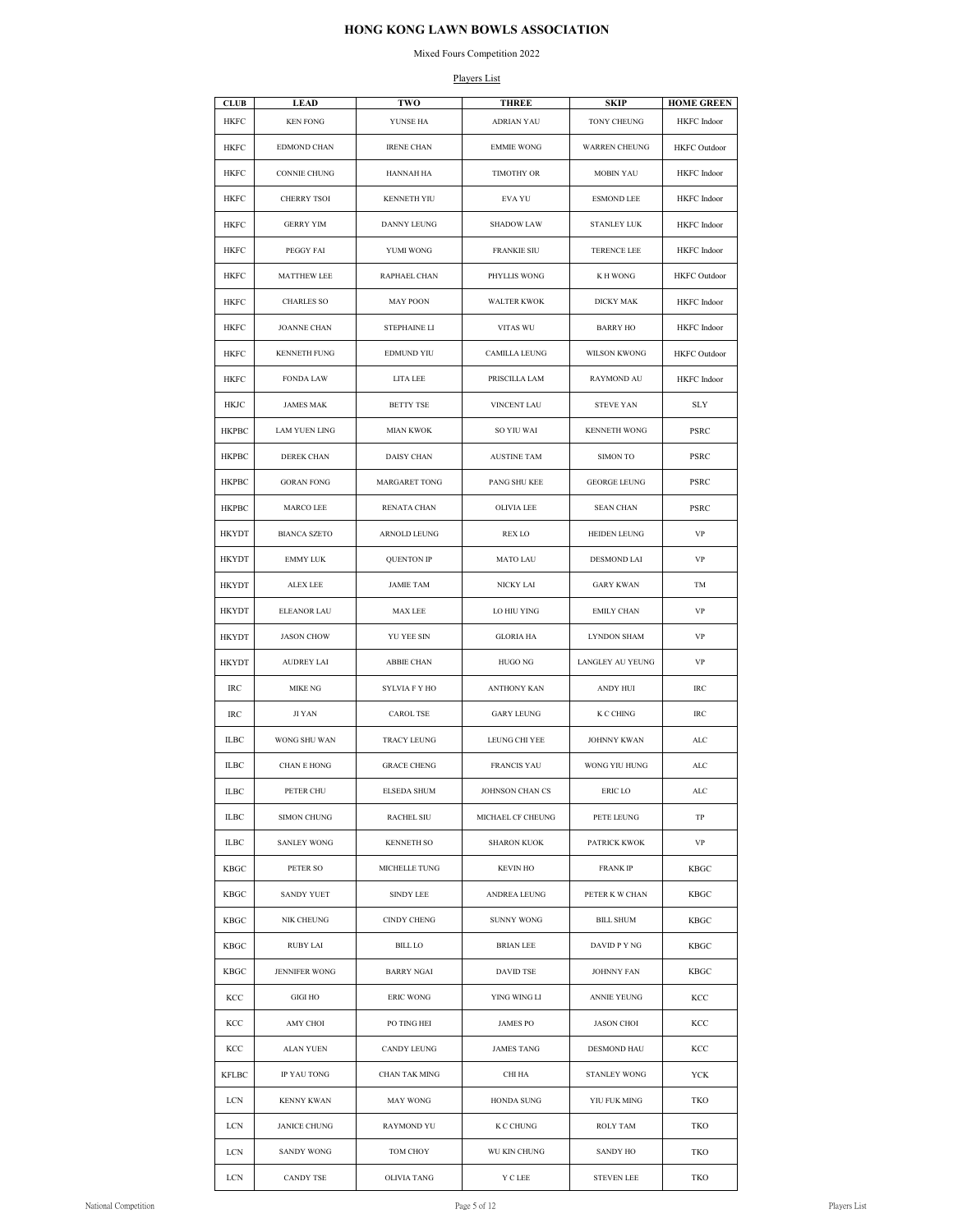### Mixed Fours Competition 2022

### Players List

| <b>CLUB</b>  | <b>LEAD</b>          | <b>TWO</b>         | <b>THREE</b>       | <b>SKIP</b>          | <b>HOME GREEN</b>   |
|--------------|----------------------|--------------------|--------------------|----------------------|---------------------|
| <b>HKFC</b>  | <b>KEN FONG</b>      | YUNSE HA           | <b>ADRIAN YAU</b>  | TONY CHEUNG          | <b>HKFC</b> Indoor  |
| HKFC         | EDMOND CHAN          | <b>IRENE CHAN</b>  | <b>EMMIE WONG</b>  | <b>WARREN CHEUNG</b> | <b>HKFC</b> Outdoor |
| HKFC         | CONNIE CHUNG         | HANNAH HA          | <b>TIMOTHY OR</b>  | MOBIN YAU            | <b>HKFC</b> Indoor  |
| HKFC         | CHERRY TSOI          | KENNETH YIU        | EVA YU             | <b>ESMOND LEE</b>    | <b>HKFC</b> Indoor  |
| HKFC         | <b>GERRY YIM</b>     | DANNY LEUNG        | <b>SHADOW LAW</b>  | <b>STANLEY LUK</b>   | HKFC Indoor         |
| HKFC         | PEGGY FAI            | YUMI WONG          | <b>FRANKIE SIU</b> | TERENCE LEE          | HKFC Indoor         |
| HKFC         | MATTHEW LEE          | RAPHAEL CHAN       | PHYLLIS WONG       | K H WONG             | HKFC Outdoor        |
| HKFC         | <b>CHARLES SO</b>    | MAY POON           | <b>WALTER KWOK</b> | DICKY MAK            | <b>HKFC</b> Indoor  |
| HKFC         | <b>JOANNE CHAN</b>   | STEPHAINE LI       | VITAS WU           | <b>BARRY HO</b>      | <b>HKFC</b> Indoor  |
| HKFC         | KENNETH FUNG         | EDMUND YIU         | CAMILLA LEUNG      | WILSON KWONG         | <b>HKFC</b> Outdoor |
| HKFC         | <b>FONDA LAW</b>     | LITA LEE           | PRISCILLA LAM      | RAYMOND AU           | HKFC Indoor         |
| HKJC         | <b>JAMES MAK</b>     | BETTY TSE          | VINCENT LAU        | <b>STEVE YAN</b>     | <b>SLY</b>          |
| <b>HKPBC</b> | <b>LAM YUEN LING</b> | <b>MIAN KWOK</b>   | SO YIU WAI         | <b>KENNETH WONG</b>  | PSRC                |
| <b>HKPBC</b> | DEREK CHAN           | DAISY CHAN         | <b>AUSTINE TAM</b> | <b>SIMON TO</b>      | PSRC                |
| HKPBC        | <b>GORAN FONG</b>    | MARGARET TONG      | PANG SHU KEE       | <b>GEORGE LEUNG</b>  | PSRC                |
| <b>HKPBC</b> | MARCO LEE            | RENATA CHAN        | OLIVIA LEE         | <b>SEAN CHAN</b>     | PSRC                |
| <b>HKYDT</b> | <b>BIANCA SZETO</b>  | ARNOLD LEUNG       | REX LO             | HEIDEN LEUNG         | VP                  |
| HKYDT        | EMMY LUK             | <b>QUENTON IP</b>  | MATO LAU           | DESMOND LAI          | VP                  |
| HKYDT        | ALEX LEE             | <b>JAMIE TAM</b>   | NICKY LAI          | <b>GARY KWAN</b>     | TM                  |
| HKYDT        | ELEANOR LAU          | MAX LEE            | LO HIU YING        | <b>EMILY CHAN</b>    | VP                  |
| HKYDT        | <b>JASON CHOW</b>    | YU YEE SIN         | <b>GLORIA HA</b>   | <b>LYNDON SHAM</b>   | VP                  |
| HKYDT        | <b>AUDREY LAI</b>    | ABBIE CHAN         | HUGO NG            | LANGLEY AU YEUNG     | VP                  |
| IRC          | MIKE NG              | SYLVIA F Y HO      | ANTHONY KAN        | ANDY HUI             | IRC                 |
| IRC          | JI YAN               | CAROL TSE          | GARY LEUNG         | K C CHING            | IRC                 |
| ILBC         | WONG SHU WAN         | TRACY LEUNG        | LEUNG CHI YEE      | JOHNNY KWAN          | ALC                 |
| <b>ILBC</b>  | <b>CHAN E HONG</b>   | <b>GRACE CHENG</b> | <b>FRANCIS YAU</b> | WONG YIU HUNG        | ALC                 |
| ILBC         | PETER CHU            | ELSEDA SHUM        | JOHNSON CHAN CS    | ERIC LO              | ALC                 |
| ILBC         | SIMON CHUNG          | RACHEL SIU         | MICHAEL CF CHEUNG  | PETE LEUNG           | TP                  |
| ILBC         | <b>SANLEY WONG</b>   | KENNETH SO         | <b>SHARON KUOK</b> | PATRICK KWOK         | VP                  |
| KBGC         | PETER SO             | MICHELLE TUNG      | KEVIN HO           | FRANK IP             | KBGC                |
| KBGC         | SANDY YUET           | SINDY LEE          | ANDREA LEUNG       | PETER K W CHAN       | KBGC                |
| KBGC         | NIK CHEUNG           | CINDY CHENG        | <b>SUNNY WONG</b>  | BILL SHUM            | KBGC                |
| KBGC         | RUBY LAI             | BILL LO            | BRIAN LEE          | DAVID P Y NG         | KBGC                |
| KBGC         | <b>JENNIFER WONG</b> | <b>BARRY NGAI</b>  | DAVID TSE          | <b>JOHNNY FAN</b>    | <b>KBGC</b>         |
| KCC          | GIGI HO              | ERIC WONG          | YING WING LI       | ANNIE YEUNG          | KCC                 |
| KCC          | AMY CHOI             | PO TING HEI        | JAMES PO           | JASON CHOI           | KCC                 |
| KCC          | ALAN YUEN            | CANDY LEUNG        | <b>JAMES TANG</b>  | DESMOND HAU          | KCC                 |
| KFLBC        | IP YAU TONG          | CHAN TAK MING      | CHI HA             | <b>STANLEY WONG</b>  | YCK                 |
| LCN          | KENNY KWAN           | MAY WONG           | HONDA SUNG         | YIU FUK MING         | TKO                 |
| LCN          | JANICE CHUNG         | RAYMOND YU         | K C CHUNG          | ROLY TAM             | TKO                 |
| LCN          | SANDY WONG           | TOM CHOY           | WU KIN CHUNG       | SANDY HO             | TKO                 |
| LCN          | <b>CANDY TSE</b>     | OLIVIA TANG        | Y C LEE            | <b>STEVEN LEE</b>    | TKO                 |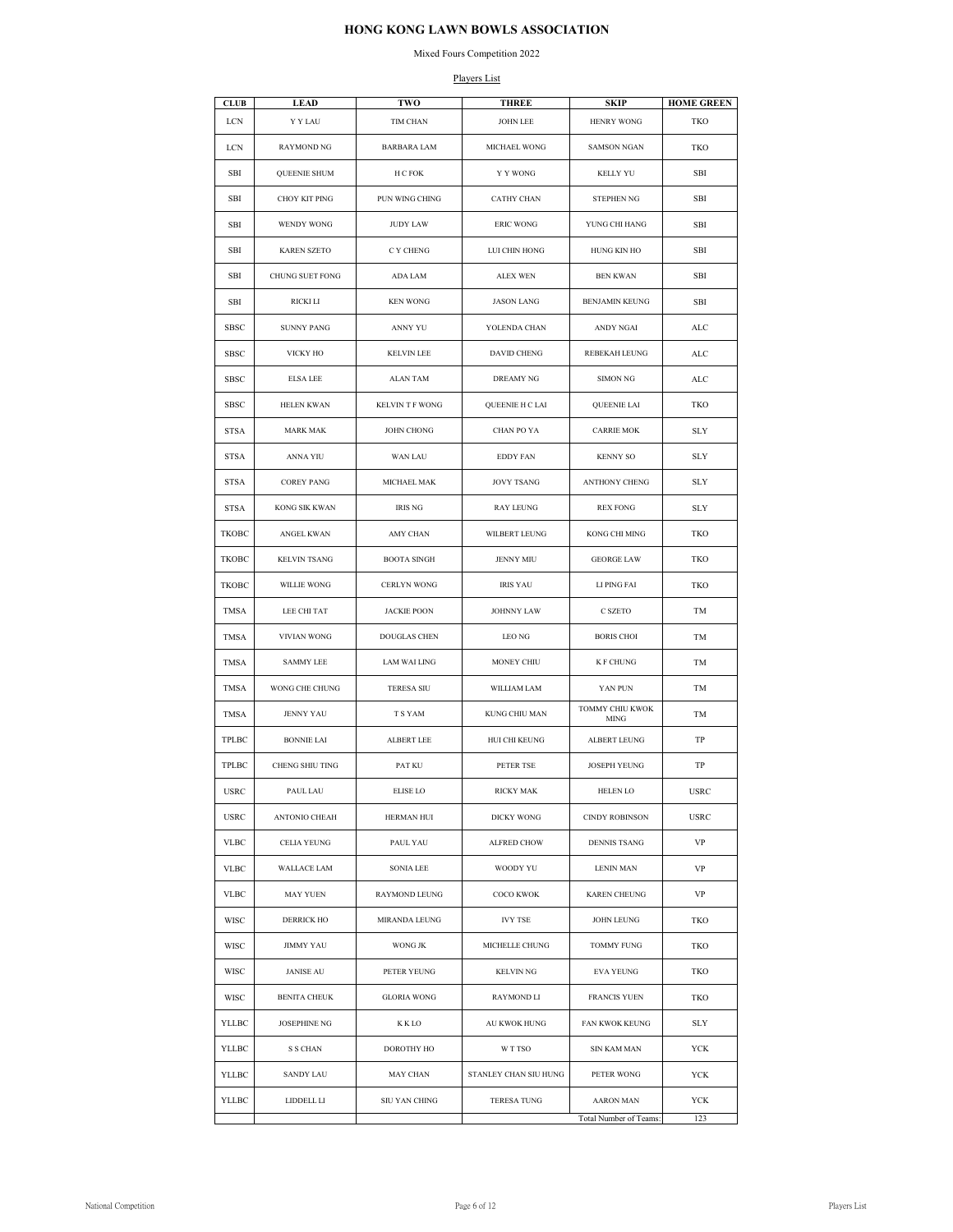### Mixed Fours Competition 2022

### Players List

| <b>CLUB</b>  | <b>LEAD</b>         | TWO                | <b>THREE</b>          | <b>SKIP</b>                    | <b>HOME GREEN</b> |
|--------------|---------------------|--------------------|-----------------------|--------------------------------|-------------------|
| LCN          | Y Y LAU             | TIM CHAN           | <b>JOHN LEE</b>       | <b>HENRY WONG</b>              | <b>TKO</b>        |
| LCN          | <b>RAYMOND NG</b>   | <b>BARBARA LAM</b> | MICHAEL WONG          | <b>SAMSON NGAN</b>             | TKO               |
| SBI          | QUEENIE SHUM        | H C FOK            | Y Y WONG              | <b>KELLY YU</b>                | SBI               |
| SBI          | CHOY KIT PING       | PUN WING CHING     | <b>CATHY CHAN</b>     | <b>STEPHEN NG</b>              | SBI               |
| SBI          | WENDY WONG          | <b>JUDY LAW</b>    | <b>ERIC WONG</b>      | YUNG CHI HANG                  | SBI               |
| SBI          | <b>KAREN SZETO</b>  | C Y CHENG          | LUI CHIN HONG         | HUNG KIN HO                    | SBI               |
| SBI          | CHUNG SUET FONG     | ADA LAM            | ALEX WEN              | <b>BEN KWAN</b>                | SBI               |
| SBI          | RICKI LI            | <b>KEN WONG</b>    | <b>JASON LANG</b>     | BENJAMIN KEUNG                 | SBI               |
| <b>SBSC</b>  | <b>SUNNY PANG</b>   | ANNY YU            | YOLENDA CHAN          | ANDY NGAI                      | ALC               |
| SBSC         | VICKY HO            | <b>KELVIN LEE</b>  | DAVID CHENG           | REBEKAH LEUNG                  | ALC               |
| SBSC         | <b>ELSA LEE</b>     | ALAN TAM           | DREAMY NG             | <b>SIMON NG</b>                | ALC               |
| SBSC         | HELEN KWAN          | KELVIN T F WONG    | QUEENIE H C LAI       | QUEENIE LAI                    | TKO               |
| <b>STSA</b>  | <b>MARK MAK</b>     | JOHN CHONG         | CHAN PO YA            | <b>CARRIE MOK</b>              | SLY               |
| <b>STSA</b>  | ANNA YIU            | WAN LAU            | <b>EDDY FAN</b>       | <b>KENNY SO</b>                | SLY               |
| <b>STSA</b>  | <b>COREY PANG</b>   | MICHAEL MAK        | <b>JOVY TSANG</b>     | ANTHONY CHENG                  | SLY               |
| <b>STSA</b>  | KONG SIK KWAN       | <b>IRIS NG</b>     | RAY LEUNG             | <b>REX FONG</b>                | SLY               |
| ТКОВС        | ANGEL KWAN          | AMY CHAN           | WILBERT LEUNG         | KONG CHI MING                  | TKO               |
| TKOBC        | <b>KELVIN TSANG</b> | <b>BOOTA SINGH</b> | <b>JENNY MIU</b>      | <b>GEORGE LAW</b>              | TKO               |
| TKOBC        | WILLIE WONG         | CERLYN WONG        | <b>IRIS YAU</b>       | LI PING FAI                    | TKO               |
| TMSA         | LEE CHI TAT         | <b>JACKIE POON</b> | <b>JOHNNY LAW</b>     | C SZETO                        | TM                |
| TMSA         | VIVIAN WONG         | DOUGLAS CHEN       | LEO NG                | <b>BORIS CHOI</b>              | TM                |
| TMSA         | <b>SAMMY LEE</b>    | LAM WAI LING       | MONEY CHIU            | <b>K F CHUNG</b>               | TM                |
| TMSA         | WONG CHE CHUNG      | <b>TERESA SIU</b>  | WILLIAM LAM           | YAN PUN                        | TM                |
| TMSA         | <b>JENNY YAU</b>    | T S YAM            | KUNG CHIU MAN         | TOMMY CHIU KWOK<br><b>MING</b> | TM                |
| TPLBC        | <b>BONNIE LAI</b>   | ALBERT LEE         | HUI CHI KEUNG         | ALBERT LEUNG                   | TP                |
| <b>TPLBC</b> | CHENG SHIU TING     | PAT KU             | PETER TSE             | JOSEPH YEUNG                   | TP                |
| USRC         | PAUL LAU            | ELISE LO           | RICKY MAK             | HELEN LO                       | USRC              |
| USRC         | ANTONIO CHEAH       | HERMAN HUI         | DICKY WONG            | <b>CINDY ROBINSON</b>          | <b>USRC</b>       |
| VLBC         | CELIA YEUNG         | PAUL YAU           | ALFRED CHOW           | DENNIS TSANG                   | VP                |
| <b>VLBC</b>  | <b>WALLACE LAM</b>  | SONIA LEE          | WOODY YU              | LENIN MAN                      | VP                |
| <b>VLBC</b>  | MAY YUEN            | RAYMOND LEUNG      | COCO KWOK             | KAREN CHEUNG                   | VP                |
| WISC         | DERRICK HO          | MIRANDA LEUNG      | <b>IVY TSE</b>        | <b>JOHN LEUNG</b>              | TKO               |
| WISC         | JIMMY YAU           | WONG JK            | MICHELLE CHUNG        | TOMMY FUNG                     | TKO               |
| WISC         | JANISE AU           | PETER YEUNG        | KELVIN NG             | EVA YEUNG                      | TKO               |
| WISC         | <b>BENITA CHEUK</b> | GLORIA WONG        | RAYMOND LI            | FRANCIS YUEN                   | TKO               |
| YLLBC        | JOSEPHINE NG        | K K LO             | AU KWOK HUNG          | FAN KWOK KEUNG                 | <b>SLY</b>        |
| YLLBC        | S S CHAN            | DOROTHY HO         | W T TSO               | SIN KAM MAN                    | YCK               |
| YLLBC        | SANDY LAU           | MAY CHAN           | STANLEY CHAN SIU HUNG | PETER WONG                     | YCK               |
| YLLBC        | LIDDELL LI          | SIU YAN CHING      | TERESA TUNG           | AARON MAN                      | YCK               |
|              |                     |                    |                       | Total Number of Teams:         | 123               |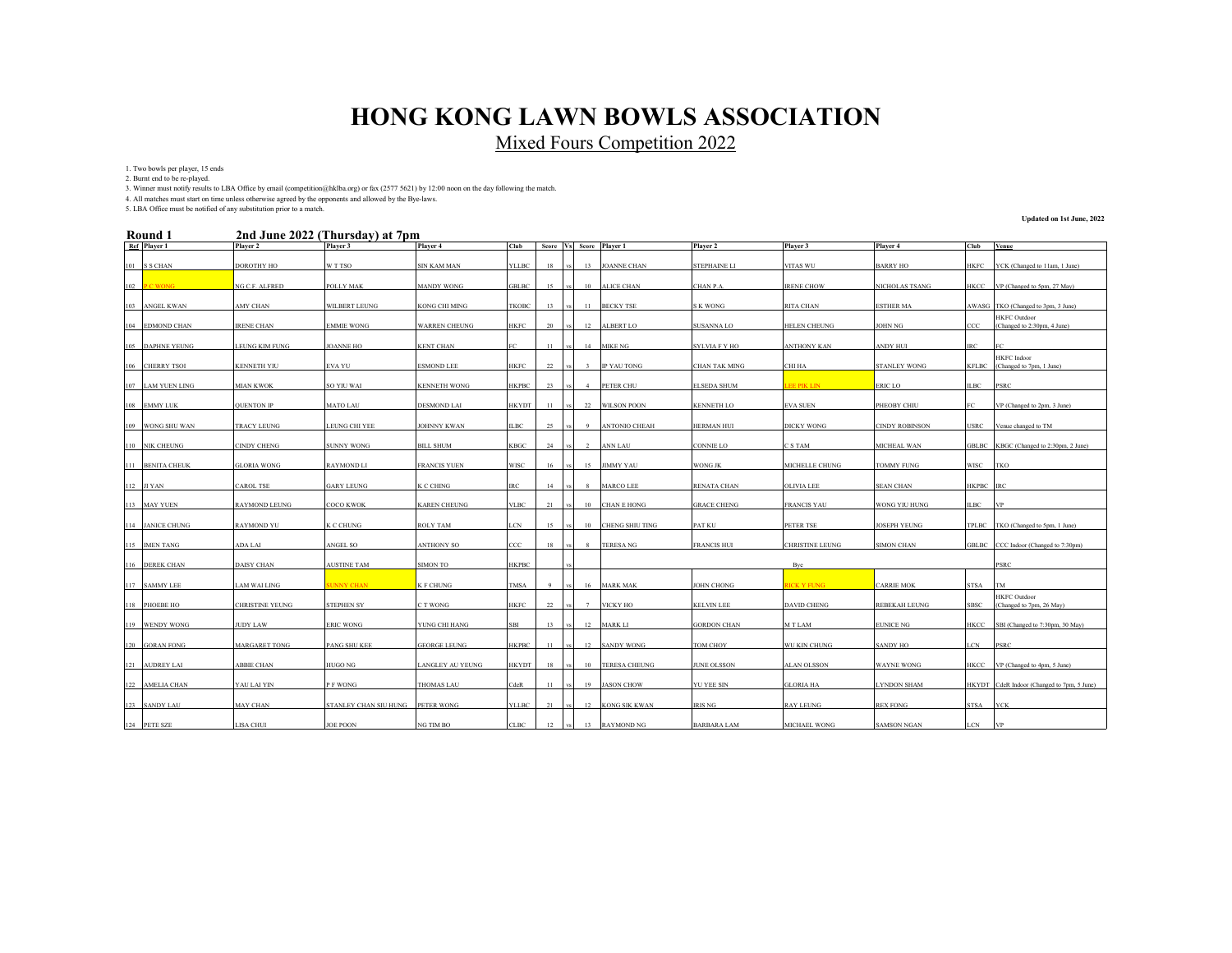Mixed Fours Competition 2022

1. Two bowls per player, 15 ends

2. Burnt end to be re-played.

3. Winner must notify results to LBA Office by email (competition@hklba.org) or fax (2577 5621) by 12:00 noon on the day following the match.

4. All matches must start on time unless otherwise agreed by the opponents and allowed by the Bye-laws. 5. LBA Office must be notified of any substitution prior to a match.

#### **2nd June 2022 (Thursday) at 7pm Round 1**

**Updated on 1st June, 2022**

| KOUNU 1           |                       | zna June 2022 (Thursday) at 7pm  |                      |              |          |     |                  |                        |                      |                        |                       |            |                                                      |
|-------------------|-----------------------|----------------------------------|----------------------|--------------|----------|-----|------------------|------------------------|----------------------|------------------------|-----------------------|------------|------------------------------------------------------|
| Ref Player 1      | Player 2              | Player 3                         | Player 4             | Club         | Score Vs |     |                  | Score Player 1         | Player 2             | Player 3               | Player 4              | Club       | Venue                                                |
| 101 S S CHAN      | DOROTHY HO            | W T TSO                          | <b>SIN KAM MAN</b>   | <b>YLLBC</b> | 18       |     | 13               | <b>JOANNE CHAN</b>     | <b>STEPHAINE LI</b>  | VITAS WU               | <b>BARRY HO</b>       | HKFC       | YCK (Changed to 11am, 1 June)                        |
| 102 PC WONG       | NG C.F. ALFRED        | POLLY MAK                        | <b>MANDY WONG</b>    | GBLBC        | 15       |     | 10 <sup>10</sup> | <b>ALICE CHAN</b>      | CHAN P.A.            | <b>IRENE CHOW</b>      | NICHOLAS TSANG        | HKCC       | VP (Changed to 5pm, 27 May)                          |
| 103 ANGEL KWAN    | AMY CHAN              | <b>WILBERT LEUNG</b>             | <b>KONG CHI MING</b> | TKOBC        | 13       |     | 11               | <b>BECKY TSE</b>       | <b>SK WONG</b>       | RITA CHAN              | <b>ESTHER MA</b>      |            | AWASG TKO (Changed to 3pm, 3 June)                   |
| 104 EDMOND CHAN   | <b>IRENE CHAN</b>     | <b>EMMIE WONG</b>                | <b>WARREN CHEUNG</b> | HKFC         | 20       |     | 12               | <b>ALBERT LO</b>       | SUSANNA LO           | HELEN CHEUNG           | JOHN NG               | CCC        | <b>HKFC</b> Outdoor<br>(Changed to 2:30pm, 4 June)   |
| 105 DAPHNE YEUNG  | <b>LEUNG KIM FUNG</b> | <b>JOANNE HO</b>                 | <b>KENT CHAN</b>     |              | 11       |     | 14               | <b>MIKE NG</b>         | <b>SYLVIA F Y HO</b> | <b>ANTHONY KAN</b>     | ANDY HUI              | <b>IRC</b> |                                                      |
| 106 CHERRY TSOI   | <b>KENNETH YIU</b>    | EVA YU                           | <b>ESMOND LEE</b>    | HKFC         | 22       |     | $\mathbf{3}$     | <b>IP YAU TONG</b>     | <b>CHAN TAK MING</b> | CHI HA                 | STANLEY WONG          |            | <b>HKFC</b> Indoor<br>KFLBC (Changed to 7pm, 1 June) |
| 107 LAM YUEN LING | <b>MIAN KWOK</b>      | SO YIU WAI                       | <b>KENNETH WONG</b>  | HKPBC        | 23       |     | $\overline{4}$   | PETER CHU              | <b>ELSEDA SHUM</b>   | <b>EE PIK LIN</b>      | ERIC LO               | ILBC       | <b>PSRC</b>                                          |
| 108 EMMY LUK      | <b>OUENTON IP</b>     | <b>MATO LAU</b>                  | <b>DESMOND LAI</b>   | HKYDT        | 11       |     |                  | 22 WILSON POON         | <b>KENNETH LO</b>    | <b>EVA SUEN</b>        | PHEOBY CHIU           | EC.        | VP (Changed to 2pm, 3 June)                          |
| 109 WONG SHU WAN  | <b>TRACY LEUNG</b>    | <b>LEUNG CHI YEE</b>             | <b>JOHNNY KWAN</b>   | ILBC -       | 25       |     | - 9              | <b>ANTONIO CHEAH</b>   | <b>HERMAN HUI</b>    | <b>DICKY WONG</b>      | <b>CINDY ROBINSON</b> | USRC       | Venue changed to TM                                  |
| 110 NIK CHEUNG    | <b>CINDY CHENG</b>    | <b>SUNNY WONG</b>                | <b>BILL SHUM</b>     | KBGC         | 24       |     | 2                | <b>ANN LAU</b>         | CONNIE LO            | C S TAM                | MICHEAL WAN           |            | GBLBC KBGC (Changed to 2:30pm, 2 June)               |
| 111 BENITA CHEUK  | <b>GLORIA WONG</b>    | <b>RAYMOND LI</b>                | <b>FRANCIS YUEN</b>  | <b>WISC</b>  | 16       |     | 15               | <b>JIMMY YAU</b>       | WONG JK              | MICHELLE CHUNG         | <b>TOMMY FUNG</b>     | WISC TKO   |                                                      |
| 112 JI YAN        | CAROL TSE             | <b>GARY LEUNG</b>                | K C CHING            | RС           | 14       |     |                  | <b>MARCO LEE</b>       | RENATA CHAN          | <b>OLIVIA LEE</b>      | <b>SEAN CHAN</b>      | HKPBC IRC  |                                                      |
|                   |                       |                                  |                      |              |          |     |                  |                        |                      |                        |                       |            |                                                      |
| 113 MAY YUEN      | <b>RAYMOND LEUNG</b>  | COCO KWOK                        | <b>KAREN CHEUNG</b>  | VLBC         | 21       |     |                  | 10 CHAN E HONG         | <b>GRACE CHENG</b>   | <b>FRANCIS YAU</b>     | WONG YIU HUNG         | ILBC       | <b>IVP</b>                                           |
| 114 JANICE CHUNG  | <b>RAYMOND YU</b>     | K C CHUNG                        | <b>ROLY TAM</b>      | LCN          | 15       |     | 10               | <b>CHENG SHIU TING</b> | PAT KU               | PETER TSE              | JOSEPH YEUNG          |            | TPLBC TKO (Changed to 5pm, 1 June)                   |
| 115 IMEN TANG     | ADA LAI               | ANGEL SO                         | ANTHONY SO           | CCC          | 18       |     | 8                | <b>TERESANG</b>        | <b>FRANCIS HUI</b>   | <b>CHRISTINE LEUNG</b> | <b>SIMON CHAN</b>     |            | GBLBC CCC Indoor (Changed to 7:30pm)                 |
| 116 DEREK CHAN    | <b>DAISY CHAN</b>     | <b>AUSTINE TAM</b>               | SIMON TO             | <b>HKPBC</b> |          |     |                  |                        |                      | Byc                    |                       |            | PSRC                                                 |
| 117 SAMMY LEE     | <b>LAM WAI LING</b>   | <b>UNNY CHAN</b>                 | K F CHUNG            | TMSA         | -9       |     |                  | 16 MARK MAK            | JOHN CHONG           | <b>HCK Y FUNG</b>      | <b>CARRIE MOK</b>     | STSA       | TM                                                   |
| 118 PHOEBE HO     | CHRISTINE YEUNG       | <b>STEPHEN SY</b>                | C T WONG             | <b>IKFC</b>  | 22       |     |                  | <b>VICKY HO</b>        | <b>KELVIN LEE</b>    | <b>DAVID CHENG</b>     | REBEKAH LEUNG         | SBSC       | <b>HKFC</b> Outdoor<br>(Changed to 7pm, 26 May)      |
| 119 WENDY WONG    | <b>JUDY LAW</b>       | <b>ERIC WONG</b>                 | YUNG CHI HANG        | SBI          | 13       | vs. |                  | 12 MARK LI             | <b>GORDON CHAN</b>   | M T LAM                | <b>EUNICE NG</b>      | HKCC       | SBI (Changed to 7:30pm, 30 May)                      |
| 120 GORAN FONG    | <b>MARGARET TONG</b>  | <b>PANG SHU KEE</b>              | <b>GEORGE LEUNG</b>  | HKPBC        | 11       |     |                  | 12 SANDY WONG          | TOM CHOY             | WU KIN CHUNG           | <b>SANDY HO</b>       | LCN -      | <b>PSRC</b>                                          |
| 121 AUDREY LAI    | <b>ABBIE CHAN</b>     | HUGO NG                          | LANGLEY AU YEUNG     | HKYDT        | 18       |     | 10               | <b>TERESA CHEUNG</b>   | JUNE OLSSON          | ALAN OLSSON            | WAYNE WONG            | HKCC       | VP (Changed to 4pm, 5 June)                          |
| 122 AMELIA CHAN   | YAU LAI YIN           | P F WONG                         | <b>THOMAS LAU</b>    | CdeR         | 11       |     | 19               | <b>JASON CHOW</b>      | <b>YU YEE SIN</b>    | <b>GLORIA HA</b>       | LYNDON SHAM           |            | HKYDT CdeR Indoor (Changed to 7pm, 5 June)           |
| 123 SANDY LAU     | MAY CHAN              | STANLEY CHAN SIU HUNG PETER WONG |                      | YLLBC        | 21       |     | 12               | <b>KONG SIK KWAN</b>   | IRIS NG              | <b>RAY LEUNG</b>       | REX FONG              | STSA       | <b>YCK</b>                                           |
| 124 PETE SZE      | <b>LISA CHUI</b>      | <b>JOE POON</b>                  | NG TIM BO            | CLBC         | 12       |     |                  | 13 RAYMOND NG          | <b>BARBARA LAM</b>   | <b>MICHAEL WONG</b>    | <b>SAMSON NGAN</b>    | <b>LCN</b> | <b>NP</b>                                            |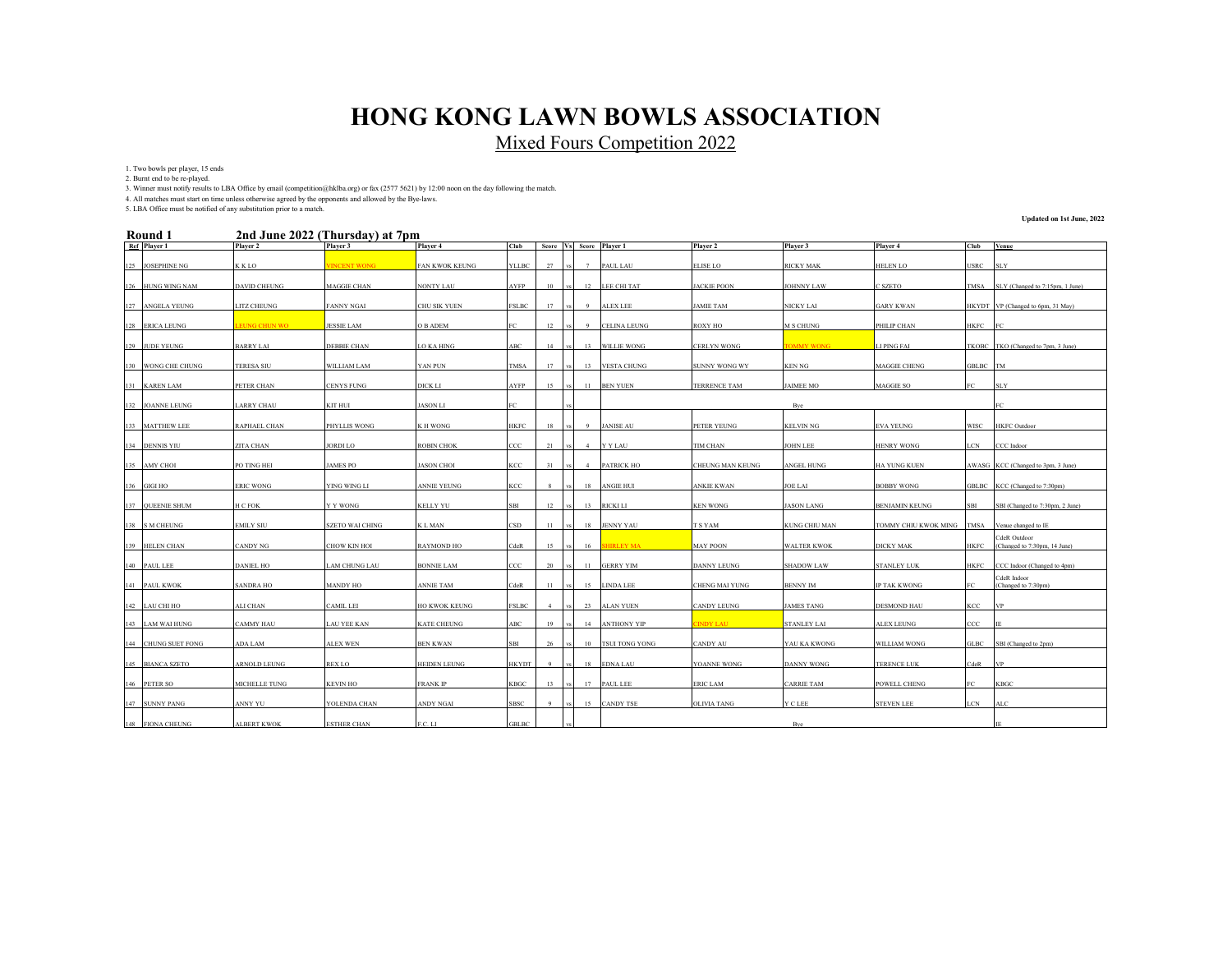Mixed Fours Competition 2022

1. Two bowls per player, 15 ends

2. Burnt end to be re-played.

3. Winner must notify results to LBA Office by email (competition@hklba.org) or fax (2577 5621) by 12:00 noon on the day following the match.

4. All matches must start on time unless otherwise agreed by the opponents and allowed by the Bye-laws. 5. LBA Office must be notified of any substitution prior to a match.

#### **2nd June 2022 (Thursday) at 7pm Round 1**

**Updated on 1st June, 2022**

| KOUHU 1             |                     | 2 Hu June 2022 (Thursuay) at 7 pm |                       |                        |                |             |                |                         |                       |                    |                      |               |                                              |
|---------------------|---------------------|-----------------------------------|-----------------------|------------------------|----------------|-------------|----------------|-------------------------|-----------------------|--------------------|----------------------|---------------|----------------------------------------------|
| Ref Player 1        | Player 2            | Player 3                          | Player 4              | <b>Club</b>            |                |             |                | Score Vs Score Player 1 | Player 2              | Player 3           | Player 4             | Club          | Venue                                        |
| 125 JOSEPHINE NG    | K K LO              | <b>INCENT WONG</b>                | <b>FAN KWOK KEUNG</b> | YLLBC                  | 27             | $_{\rm VS}$ | 7              | PAUL LAU                | <b>ELISE LO</b>       | <b>RICKY MAK</b>   | <b>HELEN LO</b>      | <b>USRC</b>   | <b>SLY</b>                                   |
| 126 HUNG WING NAM   | DAVID CHEUNG        | <b>MAGGIE CHAN</b>                | NONTY LAU             | AYFP                   | 10             |             |                | 12 LEE CHI TAT          | <b>JACKIE POON</b>    | <b>JOHNNY LAW</b>  | C SZETO              | TMSA          | SLY (Changed to 7:15pm, 1 June)              |
| 127 ANGELA YEUNG    | LITZ CHEUNG         | <b>FANNY NGAI</b>                 | CHU SIK YUEN          | FSLBC                  | 17             |             | -9             | <b>ALEX LEE</b>         | <b>JAMIE TAM</b>      | <b>NICKY LAI</b>   | <b>GARY KWAN</b>     |               | HKYDT VP (Changed to 6pm, 31 May)            |
| 128 ERICA LEUNG     | <b>EUNG CHUN WO</b> | <b>JESSIE LAM</b>                 | O B ADEM              | FC                     | 12             |             | 9              | <b>CELINA LEUNG</b>     | ROXY HO               | M S CHUNG          | PHILIP CHAN          | HKFC          | - IFC                                        |
| 129 JUDE YEUNG      | <b>BARRY LAI</b>    | <b>DEBBIE CHAN</b>                | <b>LO KA HING</b>     | <b>ABC</b>             | 14             |             |                | 13 WILLIE WONG          | <b>CERLYN WONG</b>    | <b>FOMMY WONG</b>  | LI PING FAI          |               | TKOBC TKO (Changed to 7pm, 3 June)           |
| 130 WONG CHE CHUNG  | <b>TERESA SIU</b>   | WILLIAM LAM                       | YAN PUN               | <b>TMSA</b>            | 17             |             |                | 13 VESTA CHUNG          | <b>SUNNY WONG WY</b>  | <b>KEN NG</b>      | <b>MAGGIE CHENG</b>  | GBLBC TM      |                                              |
| 131 KAREN LAM       | PETER CHAN          | CENYS FUNG                        | DICK LI               | AYFP                   | 15             |             |                | 11 BEN YUEN             | <b>TERRENCE TAM</b>   | <b>JAIMEE MO</b>   | MAGGIE SO            | FC            | <b>SLY</b>                                   |
| 132 JOANNE LEUNG    | <b>LARRY CHAU</b>   | KIT HUI                           | <b>JASON LI</b>       | FC.                    |                |             |                |                         |                       | Byc                |                      |               |                                              |
| 133 MATTHEW LEE     | RAPHAEL CHAN        | PHYLLIS WONG                      | K H WONG              | HKFC                   | 18             |             | -9             | <b>JANISE AU</b>        | PETER YEUNG           | KELVIN NG          | <b>EVA YEUNG</b>     | WISC          | <b>HKFC</b> Outdoor                          |
| 134 DENNIS YIU      | ZITA CHAN           | <b>JORDI LO</b>                   | <b>ROBIN CHOK</b>     | ccc                    | 21             |             | $\overline{4}$ | <b>Y Y LAU</b>          | TIM CHAN              | <b>JOHN LEE</b>    | <b>HENRY WONG</b>    | LCN           | CCC Indoor                                   |
| 135 AMY CHOI        | PO TING HEI         | <b>JAMES PO</b>                   | <b>JASON CHOI</b>     | KCC                    | 31             |             | 4              | <b>PATRICK HO</b>       | CHEUNG MAN KEUNG      | ANGEL HUNG         | HA YUNG KUEN         |               | AWASG KCC (Changed to 3pm, 3 June)           |
| 136 GIGI HO         | <b>ERIC WONG</b>    | YING WING LI                      | ANNIE YEUNG           | KCC                    | -8             |             |                | 18 ANGIE HUI            | <b>ANKIE KWAN</b>     | <b>JOE LAI</b>     | <b>BOBBY WONG</b>    |               | GBLBC KCC (Changed to 7:30pm)                |
| 137 QUEENIE SHUM    | H C FOK             | Y Y WONG                          | KELLY YU              | <b>SBI</b>             | 12             | vs          |                | 13 RICKI LI             | <b>KEN WONG</b>       | <b>JASON LANG</b>  | BENJAMIN KEUNG       | SBI           | SBI (Changed to 7:30pm, 2 June)              |
| 138 S M CHEUNG      | <b>EMILY SIU</b>    | <b>SZETO WAI CHING</b>            | K L MAN               | $_{\tiny{\text{CSD}}}$ | 11             | $_{\rm VS}$ |                | 18 JENNY YAU            | T S YAM               | KUNG CHIU MAN      | TOMMY CHIU KWOK MING |               | TMSA Venue changed to IE                     |
| 139 HELEN CHAN      | <b>CANDY NG</b>     | CHOW KIN HOI                      | RAYMOND HO            | CdeR                   | 15             | $_{\rm VS}$ | 16             | <b>SHIRLEY MA</b>       | <b>MAY POON</b>       | <b>WALTER KWOK</b> | <b>DICKY MAK</b>     | HKFC          | CdeR Outdoor<br>(Changed to 7:30pm, 14 June) |
| 140 PAUL LEE        | <b>DANIEL HO</b>    | LAM CHUNG LAU                     | BONNIE LAM            | CCC                    | 20             | vs I        |                | 11 GERRY YIM            | <b>DANNY LEUNG</b>    | <b>SHADOW LAW</b>  | <b>STANLEY LUK</b>   | HKFC          | CCC Indoor (Changed to 4pm)                  |
| 141 PAUL KWOK       | <b>SANDRA HO</b>    | <b>MANDY HO</b>                   | <b>ANNIE TAM</b>      | CdeR                   | 11             | $_{\rm VS}$ |                | 15 LINDA LEE            | <b>CHENG MAI YUNG</b> | <b>BENNY IM</b>    | IP TAK KWONG         | FC            | CdeR Indoor<br>(Changed to 7:30pm)           |
| 142 LAU CHI HO      | ALI CHAN            | <b>CAMIL LEI</b>                  | <b>HO KWOK KEUNG</b>  | <b>FSLBC</b>           | $\overline{4}$ |             |                | 23 ALAN YUEN            | <b>CANDY LEUNG</b>    | <b>JAMES TANG</b>  | <b>DESMOND HAU</b>   | KCC           | <b>VP</b>                                    |
| 143 LAM WAI HUNG    | <b>CAMMY HAU</b>    | <b>LAU YEE KAN</b>                | <b>KATE CHEUNG</b>    | ABC                    | 19             |             |                | 14 ANTHONY YIP          | <b>INDY LAU</b>       | <b>STANLEY LAI</b> | ALEX LEUNG           | $_{\rm{CCC}}$ |                                              |
| 144 CHUNG SUET FONG | ADA LAM             | <b>ALEX WEN</b>                   | <b>BEN KWAN</b>       | SBI                    | 26             |             |                | 10 TSUI TONG YONG       | <b>CANDY AU</b>       | YAU KA KWONG       | <b>WILLIAM WONG</b>  |               | GLBC SBI (Changed to 2pm)                    |
| 145 BIANCA SZETO    | <b>ARNOLD LEUNG</b> | <b>REX LO</b>                     | <b>HEIDEN LEUNG</b>   | HKYDT                  | $\overline{9}$ | VS.         |                | 18 EDNA LAU             | YOANNE WONG           | <b>DANNY WONG</b>  | <b>TERENCE LUK</b>   | CdeR          | <b>VP</b>                                    |
| 146 PETER SO        | MICHELLE TUNG       | KEVIN HO                          | <b>FRANK IP</b>       | KBGC                   | 13             | vs I        |                | 17 PAUL LEE             | <b>ERIC LAM</b>       | <b>CARRIE TAM</b>  | POWELL CHENG         | FC            | <b>KBGC</b>                                  |
| 147 SUNNY PANG      | ANNY YU             | YOLENDA CHAN                      | ANDY NGAI             | SBSC                   | -9             | vs I        |                | 15 CANDY TSE            | OLIVIA TANG           | Y C LEE            | <b>STEVEN LEE</b>    | LCN           | ALC                                          |
| 148 FIONA CHEUNG    | <b>ALBERT KWOK</b>  | <b>ESTHER CHAN</b>                | F.C. LI               | GBLBC                  |                |             |                |                         |                       | Byc                |                      |               |                                              |
|                     |                     |                                   |                       |                        |                |             |                |                         |                       |                    |                      |               |                                              |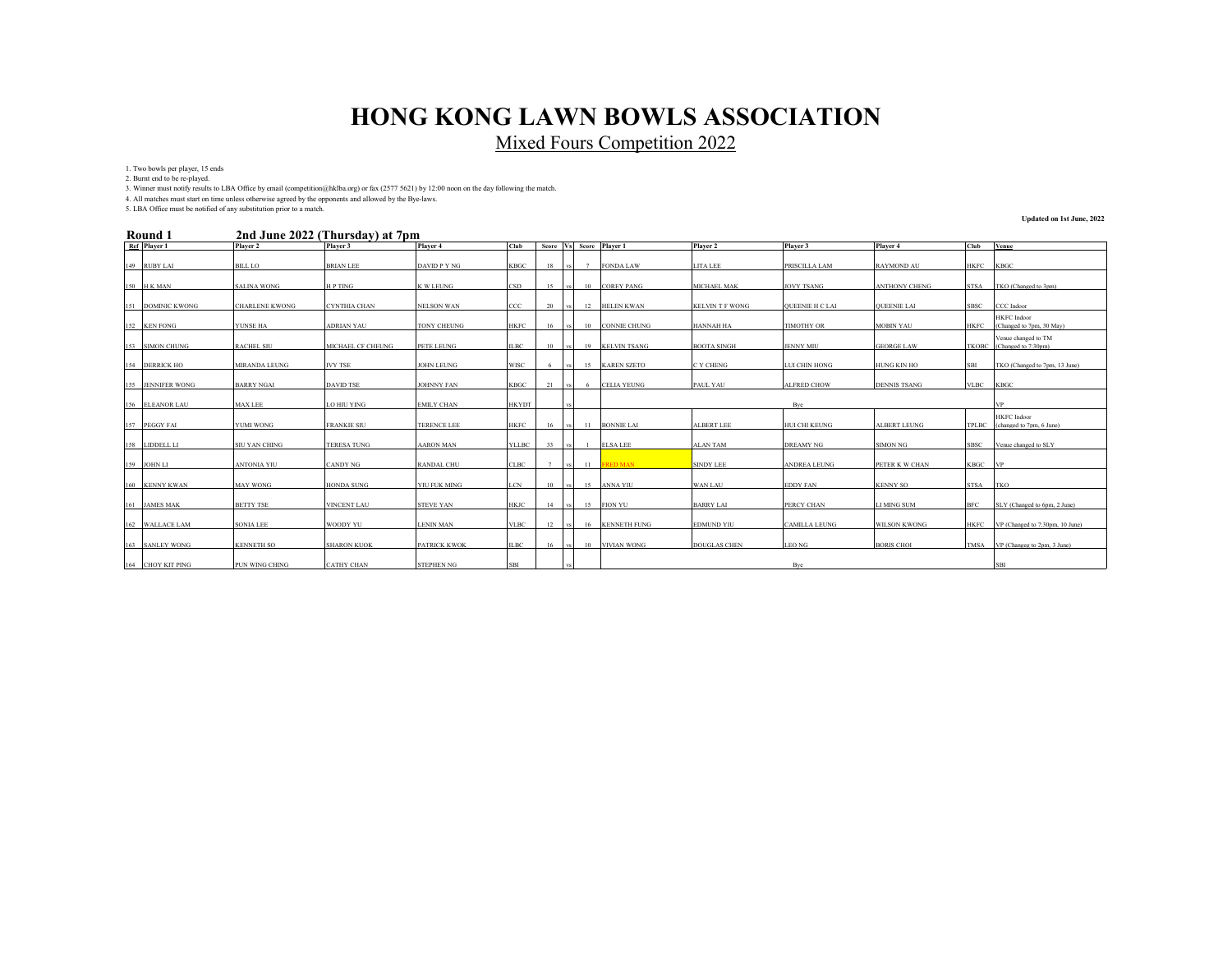Mixed Fours Competition 2022

1. Two bowls per player, 15 ends

2. Burnt end to be re-played.

3. Winner must notify results to LBA Office by email (competition@hklba.org) or fax (2577 5621) by 12:00 noon on the day following the match.

4. All matches must start on time unless otherwise agreed by the opponents and allowed by the Bye-laws. 5. LBA Office must be notified of any substitution prior to a match.

#### **2nd June 2022 (Thursday) at 7pm Round 1**

**Updated on 1st June, 2022**

| KOUNG 1<br>zna June 2022 (Thursday) at 7pm |                   |                       |                     |                     |              |                |      |                |                         |                        |                        |                      |              |                                            |
|--------------------------------------------|-------------------|-----------------------|---------------------|---------------------|--------------|----------------|------|----------------|-------------------------|------------------------|------------------------|----------------------|--------------|--------------------------------------------|
|                                            | Ref Player 1      | Player 2              | Player 3            | Player 4            | Club         |                |      |                | Score Vs Score Player 1 | Player 2               | Player 3               | Player 4             | Club         | Venue                                      |
|                                            | 149 RUBY LAI      | <b>BILL LO</b>        | <b>BRIAN LEE</b>    | DAVID P Y NG        | KBGC         | 18             | vs   | 7              | <b>FONDA LAW</b>        | LITA LEE               | PRISCILLA LAM          | <b>RAYMOND AU</b>    | <b>HKFC</b>  | <b>KBGC</b>                                |
|                                            | 150 H K MAN       | <b>SALINA WONG</b>    | H P TING            | K W LEUNG           | CSD          | 15             | vs   | 10             | <b>COREY PANG</b>       | MICHAEL MAK            | <b>JOVY TSANG</b>      | <b>ANTHONY CHENG</b> | <b>STSA</b>  | TKO (Changed to 3pm)                       |
|                                            | 151 DOMINIC KWONG | <b>CHARLENE KWONG</b> | <b>CYNTHIA CHAN</b> | <b>NELSON WAN</b>   | ccc          | 20             | vs   | 12             | <b>HELEN KWAN</b>       | <b>KELVIN T F WONG</b> | <b>OUEENIE H C LAI</b> | <b>QUEENIE LAI</b>   | <b>SBSC</b>  | CCC Indoor                                 |
|                                            | 152 KEN FONG      | YUNSE HA              | <b>ADRIAN YAU</b>   | <b>TONY CHEUNG</b>  | <b>HKFC</b>  | 16             | vs   | 10             | <b>CONNIE CHUNG</b>     | <b>HANNAH HA</b>       | <b>TIMOTHY OR</b>      | <b>MOBIN YAU</b>     | <b>HKFC</b>  | HKFC Indoor<br>(Changed to 7pm, 30 May)    |
|                                            | 153 SIMON CHUNG   | <b>RACHEL SIU</b>     | MICHAEL CF CHEUNG   | PETE LEUNG          | <b>ILBC</b>  | 10             | vs   |                | 19 KELVIN TSANG         | <b>BOOTA SINGH</b>     | <b>JENNY MIU</b>       | <b>GEORGE LAW</b>    | <b>TKOBC</b> | Venue changed to TM<br>(Changed to 7:30pm) |
|                                            | 154 DERRICK HO    | <b>MIRANDA LEUNG</b>  | <b>IVY TSE</b>      | <b>JOHN LEUNG</b>   | <b>WISC</b>  | -6             | vs.  |                | 15 KAREN SZETO          | C Y CHENG              | LUI CHIN HONG          | HUNG KIN HO          | SBI          | TKO (Changed to 7pm, 13 June)              |
|                                            | 155 JENNIFER WONG | <b>BARRY NGAI</b>     | <b>DAVID TSE</b>    | <b>JOHNNY FAN</b>   | <b>KBGC</b>  | 21             | vs.  | -6             | <b>CELIA YEUNG</b>      | PAUL YAU               | <b>ALFRED CHOW</b>     | <b>DENNIS TSANG</b>  | <b>VLBC</b>  | <b>KBGC</b>                                |
|                                            | 156 ELEANOR LAU   | <b>MAX LEE</b>        | LO HIU YING         | <b>EMILY CHAN</b>   | <b>HKYDT</b> |                |      |                |                         |                        | Byc                    |                      |              |                                            |
|                                            | 157 PEGGY FAI     | <b>YUMI WONG</b>      | <b>FRANKIE SIU</b>  | <b>TERENCE LEE</b>  | <b>HKFC</b>  | 16             | vs.  | 11             | <b>BONNIE LAI</b>       | <b>ALBERT LEE</b>      | HUI CHI KEUNG          | ALBERT LEUNG         | <b>TPLBC</b> | HKFC Indoor<br>(changed to 7pm, 6 June)    |
|                                            | 158 LIDDELL LI    | <b>SIU YAN CHING</b>  | <b>TERESA TUNG</b>  | <b>AARON MAN</b>    | <b>YLLBC</b> | 33             | vs   | $\overline{1}$ | <b>ELSA LEE</b>         | <b>ALAN TAM</b>        | <b>DREAMY NG</b>       | <b>SIMON NG</b>      | SBSC         | Venue changed to SLY                       |
|                                            | 159 JOHN LI       | <b>ANTONIA YIU</b>    | CANDY NG            | <b>RANDAL CHU</b>   | <b>CLBC</b>  | $\overline{7}$ | vs   |                | 11 FRED MAN             | <b>SINDY LEE</b>       | <b>ANDREA LEUNG</b>    | PETER K W CHAN       | KBGC VP      |                                            |
|                                            | 160 KENNY KWAN    | <b>MAY WONG</b>       | <b>HONDA SUNG</b>   | YIU FUK MING        | <b>LCN</b>   | 10             | vs.  |                | 15 ANNA YIU             | <b>WAN LAU</b>         | <b>EDDY FAN</b>        | <b>KENNY SO</b>      | <b>STSA</b>  | <b>TKO</b>                                 |
|                                            | 161 JAMES MAK     | <b>BETTY TSE</b>      | <b>VINCENT LAU</b>  | <b>STEVE YAN</b>    | <b>HKJC</b>  | 14             | vs l | 15             | <b>FION YU</b>          | <b>BARRY LAI</b>       | PERCY CHAN             | <b>LI MING SUM</b>   | BFC          | SLY (Changed to 6pm, 2 June)               |
|                                            | 162 WALLACE LAM   | <b>SONIA LEE</b>      | WOODY YU            | <b>LENIN MAN</b>    | <b>VLBC</b>  | 12             | vs 1 |                | 16 KENNETH FUNG         | <b>EDMUND YIU</b>      | <b>CAMILLA LEUNG</b>   | <b>WILSON KWONG</b>  | HKFC         | VP (Changed to 7:30pm, 10 June)            |
|                                            | 163 SANLEY WONG   | <b>KENNETH SO</b>     | <b>SHARON KUOK</b>  | <b>PATRICK KWOK</b> | <b>ILBC</b>  | 16             | vs   | 10             | <b>VIVIAN WONG</b>      | <b>DOUGLAS CHEN</b>    | <b>LEO NG</b>          | <b>BORIS CHOI</b>    | <b>TMSA</b>  | VP (Changeg to 2pm, 3 June)                |
|                                            | 164 CHOY KIT PING | <b>PUN WING CHING</b> | <b>CATHY CHAN</b>   | <b>STEPHEN NG</b>   | <b>SBI</b>   |                |      |                |                         |                        | Byc                    |                      |              | <b>SBI</b>                                 |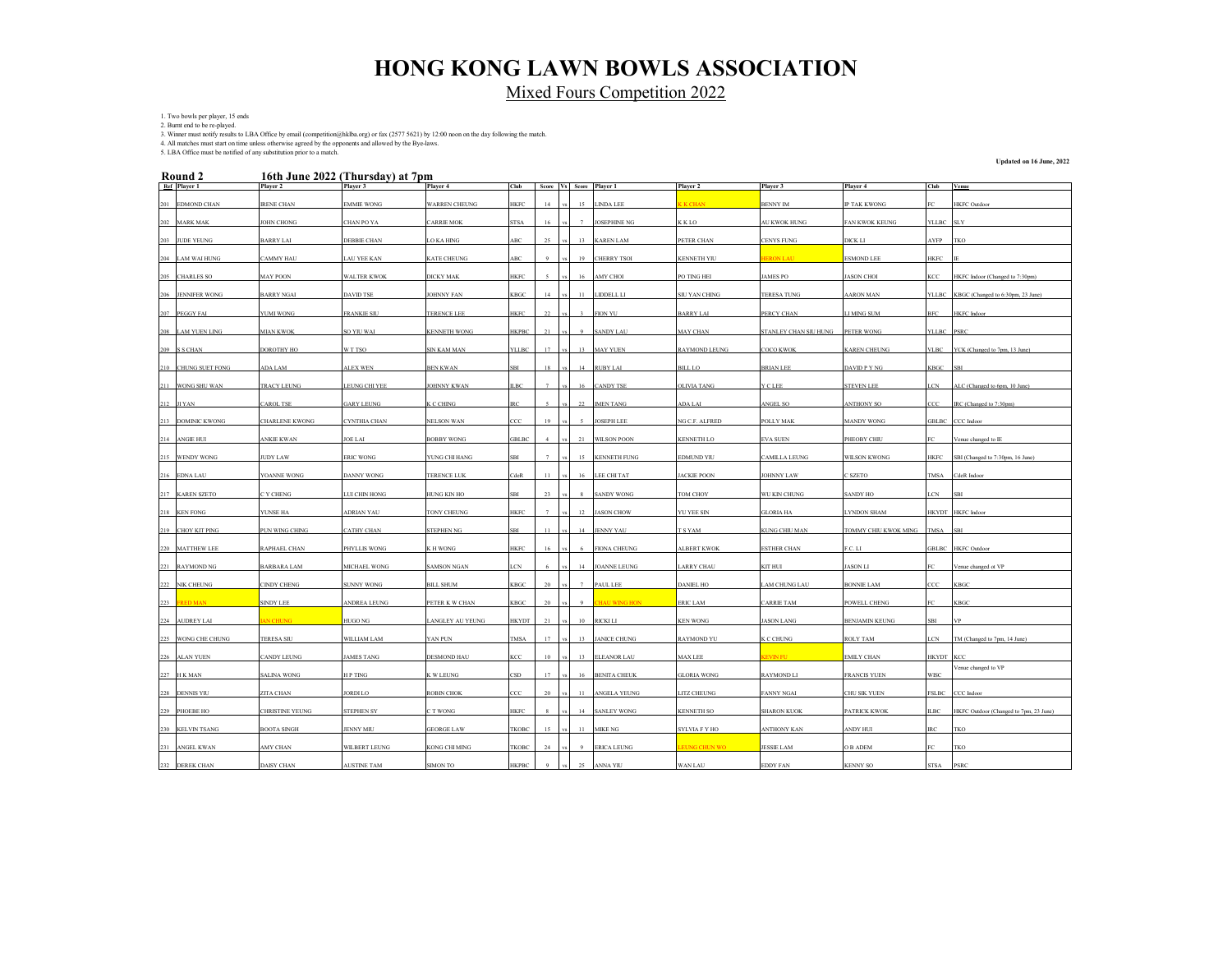Mixed Fours Competition 2022

1. Two bowls per player, 15 ends 2. Burnt end to be re-played.

3. Winner must notify results to LBA Office by email (competition@hklba.org) or fax (2577 5621) by 12:00 noon on the day following the match.<br>4. All matches must start on time unless otherwise agreed by the opponents and a

5. LBA Office must be notified of any substitution prior to a match.

**Updated on 16 June, 2022**

|     | Round 2             |                        | 16th June 2022 (Thursday) at 7pm |                      |              |                  |    |                         |                    |                       |                       |             |                                        |
|-----|---------------------|------------------------|----------------------------------|----------------------|--------------|------------------|----|-------------------------|--------------------|-----------------------|-----------------------|-------------|----------------------------------------|
|     | Ref Player 1        | Player 2               | Player 3                         | Player 4             | Club         |                  |    | Score Vs Score Player 1 | Player 2           | Player 3              | Player 4              | Club        | <b>Venue</b>                           |
|     | 201 EDMOND CHAN     | <b>IRENE CHAN</b>      | <b>EMMIE WONG</b>                | <b>WARREN CHEUNG</b> | HKFC         | 14               | 15 | LINDA LEE               | K CHAN             | <b>BENNY IM</b>       | <b>IP TAK KWONG</b>   | FC.         | <b>HKFC</b> Outdoor                    |
|     | 202 MARK MAK        | <b>JOHN CHONG</b>      | CHAN PO YA                       | <b>CARRIE MOK</b>    | <b>STSA</b>  | 16               |    | <b>JOSEPHINE NG</b>     | K K LO             | AU KWOK HUNG          | <b>FAN KWOK KEUNG</b> | YLLBC SLY   |                                        |
|     | 203 JUDE YEUNG      | <b>BARRY LAI</b>       | DEBBIE CHAN                      | <b>LO KA HING</b>    | ABC          | 25               | 13 | <b>KAREN LAM</b>        | PETER CHAN         | <b>CENYS FUNG</b>     | <b>DICK LI</b>        | <b>AYFP</b> | <b>TKO</b>                             |
|     | 204 LAM WAI HUNG    | <b>CAMMY HAU</b>       | <b>LAU YEE KAN</b>               | <b>KATE CHEUNG</b>   | ABC          |                  | 19 | <b>CHERRY TSOI</b>      | <b>KENNETH YIU</b> | <b>RON LAI</b>        | <b>ESMOND LEE</b>     | <b>HKFC</b> |                                        |
|     | 205 CHARLES SO      | <b>MAY POON</b>        | <b>WALTER KWOK</b>               | <b>DICKY MAK</b>     | HKFC         |                  |    | AMY CHOI                | PO TING HEI        | AMES PO               | <b>JASON CHOI</b>     | KCC.        | HKFC Indoor (Changed to 7:30pm)        |
|     | 206 JENNIFER WONG   | <b>BARRY NGAI</b>      | <b>DAVID TSE</b>                 | <b>JOHNNY FAN</b>    | <b>KBGC</b>  |                  | 11 | LIDDELL LI              | SIU YAN CHING      | <b>TERESA TUNG</b>    | <b>AARON MAN</b>      |             | YLLBC KBGC (Changed to 6:30pm, 23 June |
|     | 207 PEGGY FAI       | YUMI WONG              | <b>FRANKIE SIU</b>               | TERENCE LEE          | HKFC         | 22               |    | FION YU                 | <b>BARRY LAI</b>   | PERCY CHAN            | LI MING SUM           | <b>BFC</b>  | HKFC Indoor                            |
|     |                     |                        | SO YIU WAI                       |                      | HKPBC        |                  |    |                         |                    |                       |                       |             |                                        |
|     | 208 LAM YUEN LING   | <b>MIAN KWOK</b>       |                                  | <b>KENNETH WONG</b>  |              |                  |    | <b>SANDY LAU</b>        | <b>MAY CHAN</b>    | STANLEY CHAN SIU HUNG | <b>PETER WONG</b>     | YLLBC PSRC  |                                        |
|     | 209 S S CHAN        | DOROTHY HO             | W T TSO                          | SIN KAM MAN          | YLLBC        | 17               | 13 | <b>MAY YUEN</b>         | RAYMOND LEUNG      | COCO KWOK             | <b>KAREN CHEUNG</b>   |             | VLBC YCK (Changed to 7pm, 13 June)     |
|     | 210 CHUNG SUET FONG | ADA LAM                | <b>ALEX WEN</b>                  | <b>BEN KWAN</b>      | SRI          |                  | 14 | <b>RUBY LAI</b>         | BILL LO            | <b>BRIAN LEE</b>      | DAVID P Y NG          | KBGC        | SBI                                    |
|     | 211 WONG SHU WAN    | <b>TRACY LEUNG</b>     | LEUNG CHI YEE                    | <b>JOHNNY KWAN</b>   | <b>ILBC</b>  |                  | 16 | CANDY TSE               | <b>OLIVIA TANG</b> | Y C LEE               | <b>STEVEN LEE</b>     | LCN         | ALC (Changed to 6pm, 10 June)          |
|     | 212 JI YAN          | <b>CAROL TSE</b>       | <b>GARY LEUNG</b>                | K C CHING            | IRC          |                  | 22 | <b>IMEN TANG</b>        | ADA LAI            | <b>NGEL SO</b>        | <b>ANTHONY SO</b>     | ccc         | IRC (Changed to 7:30pn                 |
|     | 213 DOMINIC KWONG   | <b>CHARLENE KWONG</b>  | CYNTHIA CHAN                     | <b>NELSON WAN</b>    | ccc          | 19               |    | <b>JOSEPH LEE</b>       | NG C.F. ALFRED     | POLLY MAK             | <b>MANDY WONG</b>     |             | GBLBC CCC Indoor                       |
|     | 214 ANGIE HUI       | <b>ANKIE KWAN</b>      | <b>JOE LAI</b>                   | <b>BOBBY WONG</b>    | GBLBC        |                  | 21 | <b>WILSON POON</b>      | <b>KENNETH LO</b>  | <b>EVA SUEN</b>       | PHEOBY CHIU           | EC          | Venue changed to IF                    |
|     | 215 WENDY WONG      | <b>JUDY LAW</b>        | <b>ERIC WONG</b>                 | YUNG CHI HANG        | SBI          |                  | 15 | <b>KENNETH FUNG</b>     | EDMUND YIU         | CAMILLA LEUNG         | WILSON KWONG          |             | HKFC SBI (Changed to 7:30pm, 16 June)  |
|     | 216 EDNA LAU        | YOANNE WONG            | <b>DANNY WONG</b>                | <b>TERENCE LUK</b>   | CdeR         | $_{11}$          | 16 | LEE CHI TAT             | <b>ACKIE POON</b>  | <b>JOHNNY LAW</b>     | C SZETO               | <b>TMSA</b> | CdeR Indoor                            |
|     | 217 KAREN SZETO     | C Y CHENG              | LUI CHIN HONG                    | HUNG KIN HO          | SBI          | 23               |    | <b>SANDY WONG</b>       | <b>TOM CHOY</b>    | WU KIN CHUNG          | <b>SANDY HO</b>       | LCN         | SBI                                    |
|     | 218 KEN FONG        | YUNSE HA               | ADRIAN YAU                       | <b>TONY CHEUNG</b>   | HKFC         |                  | 12 | <b>ASON CHOW</b>        | YU YEE SIN         | <b>GLORIA HA</b>      | <b>LYNDON SHAM</b>    |             | HKYDT HKFC Indoor                      |
|     | 219 CHOY KIT PING   | PUN WING CHING         | CATHY CHAN                       | <b>STEPHEN NG</b>    | SBI          |                  | 14 | <b>JENNY YAU</b>        | <b>SYAM</b>        | KUNG CHIU MAN         | TOMMY CHIU KWOK MING  | <b>TMSA</b> | <b>SBI</b>                             |
|     | 220 MATTHEW LEE     | RAPHAEL CHAN           | PHYLLIS WONG                     | K H WONG             | HKFC         |                  |    | <b>FIONA CHEUNG</b>     | <b>ALBERT KWOK</b> | <b>STHER CHAN</b>     | F.C. LI               |             | GBLBC HKFC Outdoo                      |
|     | 221 RAYMOND NG      | <b>BARBARA LAM</b>     | <b>MICHAEL WONG</b>              | <b>SAMSON NGAN</b>   | LCN          |                  | 14 | <b>JOANNE LEUNG</b>     | ARRY CHAU          | KIT HUI               | <b>JASON LI</b>       |             | enue changed ot VF                     |
|     | 222 NIK CHEUNG      | <b>CINDY CHENG</b>     | <b>SUNNY WONG</b>                | <b>BILL SHUM</b>     | KBGC         | 20               |    | PAUL LEE                | <b>DANIEL HO</b>   | AM CHUNG LAU          | <b>BONNIE LAM</b>     | ccc         | KBGC                                   |
|     |                     |                        |                                  |                      |              |                  |    |                         |                    |                       |                       |             |                                        |
| 223 | <b>RED MAN</b>      | <b>SINDY LEE</b>       | ANDREA LEUNG                     | PETER K W CHAN       | KBGC         |                  |    | <b>IATE WING H</b>      | <b>ERIC LAM</b>    | <b>CARRIE TAM</b>     | POWELL CHENG          |             | <b>KBGC</b>                            |
|     | 224 AUDREY LAI      | <b>N CHUNG</b>         | HUGO NG                          | LANGLEY AU YEUNG     | <b>HKYDT</b> | 21               | 10 | <b>RICKILI</b>          | <b>KEN WONG</b>    | <b>JASON LANG</b>     | <b>BENJAMIN KEUNG</b> | SBI         | <b>VP</b>                              |
|     | 225 WONG CHE CHUNG  | <b>TERESA SIU</b>      | WILLIAM LAM                      | YAN PUN              | <b>TMSA</b>  | 17               | 13 | <b>JANICE CHUNG</b>     | <b>RAYMOND YU</b>  | K C CHUNG             | <b>ROLY TAM</b>       | LCN         | TM (Changed to 7pm, 14 June)           |
|     | 226 ALAN YUEN       | <b>CANDY LEUNG</b>     | <b>JAMES TANG</b>                | <b>DESMOND HAU</b>   | KCC          | 10 <sup>10</sup> | 13 | <b>ELEANOR LAU</b>      | <b>MAX LEE</b>     | <b>EVIN FU</b>        | <b>EMILY CHAN</b>     | HKYDT KCC   | /enue changed to VP                    |
|     | 227 HK MAN          | <b>SALINA WONG</b>     | H P TING                         | <b>K W LEUNG</b>     | <b>CSD</b>   | 17               | 16 | <b>BENITA CHEUK</b>     | <b>GLORIA WONG</b> | RAYMOND LI            | <b>FRANCIS YUEN</b>   | WISC        |                                        |
|     | 228 DENNIS YIU      | ZITA CHAN              | <b>JORDI LO</b>                  | <b>ROBIN CHOK</b>    | ccc          | 20               | 11 | <b>ANGELA YEUNG</b>     | LITZ CHEUNG        | <b>FANNY NGAI</b>     | CHU SIK YUEN          |             | FSLBC CCC Indoor                       |
|     | 229 PHOEBE HO       | <b>CHRISTINE YEUNG</b> | <b>STEPHEN SY</b>                | C T WONG             | HKFC         |                  | 14 | <b>SANLEY WONG</b>      | <b>KENNETH SO</b>  | <b>SHARON KUOK</b>    | <b>PATRICK KWOK</b>   | <b>ILBC</b> | HKFC Outdoor (Changed to 7pm, 23 June) |
|     | 230 KELVIN TSANG    | <b>BOOTA SINGH</b>     | <b>JENNY MIU</b>                 | <b>GEORGE LAW</b>    | ТКОВС        | 15               | 11 | MIKE NG                 | SYLVIA F Y HO      | <b>ANTHONY KAN</b>    | <b>ANDY HUI</b>       | <b>IRC</b>  | TKO                                    |
|     | 231 ANGEL KWAN      | AMY CHAN               | WILBERT LEUNG                    | KONG CHI MING        | TKOBC        | 24               |    | ERICA LEUNG             | EUNG CHUN WO       | <b>JESSIE LAM</b>     | O B ADEM              |             | TKO                                    |
|     | 232 DEREK CHAN      | DAISY CHAN             | <b>AUSTINE TAM</b>               | SIMON TO             | HKPBC        |                  | 25 | <b>ANNA YIU</b>         | <b>WAN LAU</b>     | <b>EDDY FAN</b>       | <b>KENNY SO</b>       | <b>STSA</b> | PSRC                                   |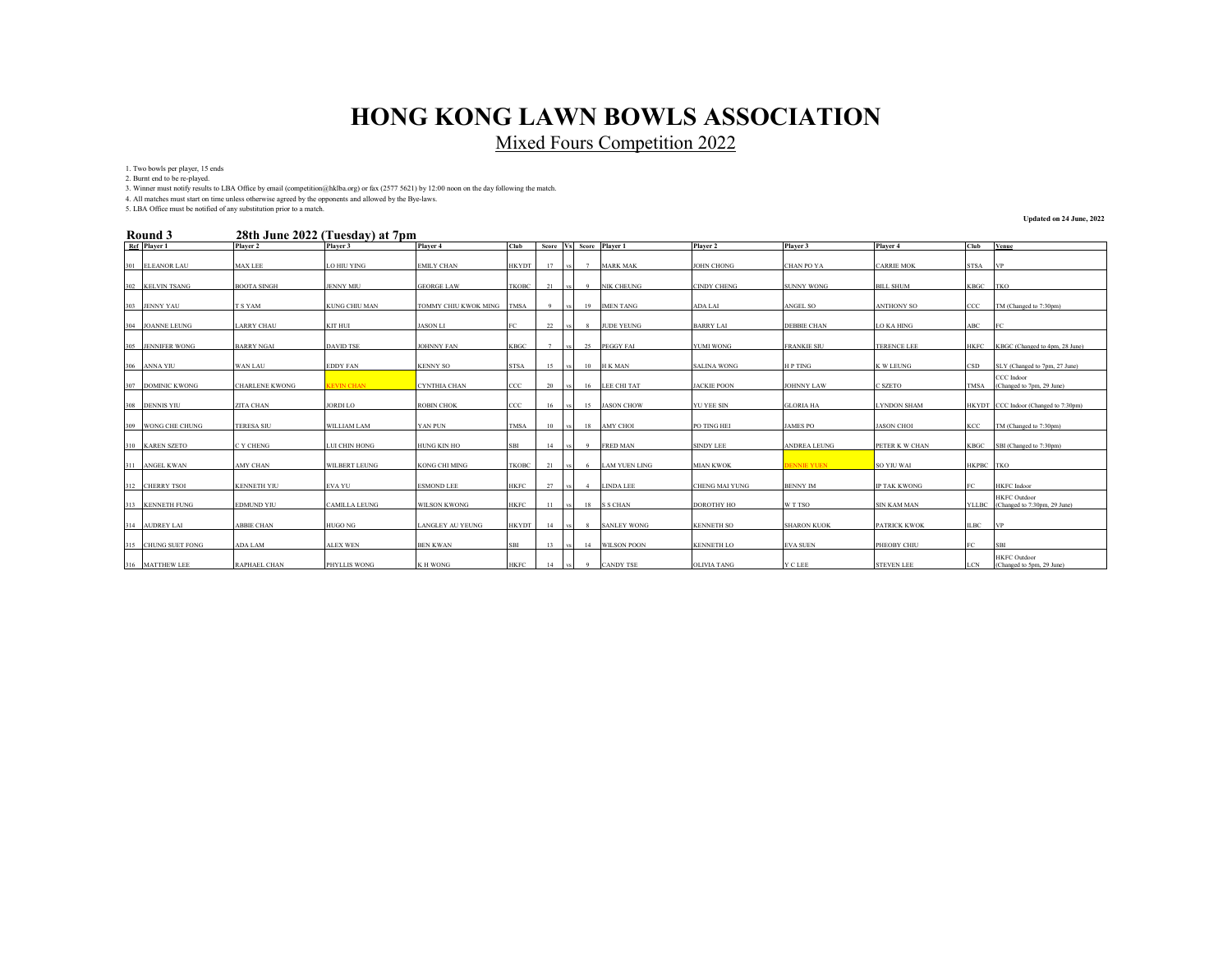Mixed Fours Competition 2022

1. Two bowls per player, 15 ends

2. Burnt end to be re-played.

3. Winner must notify results to LBA Office by email (competition@hklba.org) or fax (2577 5621) by 12:00 noon on the day following the match.

4. All matches must start on time unless otherwise agreed by the opponents and allowed by the Bye-laws. 5. LBA Office must be notified of any substitution prior to a match.

#### **28th June 2022 (Tuesday) at 7pm Round 3**

**Updated on 24 June, 2022**

| Round 5             |                       | 28th June 2022 (Tuesday) at 7pm |                           |              |     |      |                |                         |                       |                     |                     |              |                                      |
|---------------------|-----------------------|---------------------------------|---------------------------|--------------|-----|------|----------------|-------------------------|-----------------------|---------------------|---------------------|--------------|--------------------------------------|
| Ref Player 1        | Player 2              | Player 3                        | Player 4                  | Club         |     |      |                | Score Vs Score Player 1 | Player 2              | Player 3            | Player 4            | Club         | Venue                                |
|                     |                       |                                 |                           |              |     |      |                |                         |                       |                     |                     |              |                                      |
| 301 ELEANOR LAU     | <b>MAX LEE</b>        | <b>LO HIU YING</b>              | <b>EMILY CHAN</b>         | HKYDT        | 17  | VS.  | 7              | <b>MARK MAK</b>         | <b>JOHN CHONG</b>     | <b>CHAN PO YA</b>   | <b>CARRIE MOK</b>   | STSA         | <b>IVP</b>                           |
|                     |                       |                                 |                           |              |     |      |                |                         |                       |                     |                     |              |                                      |
| 302 KELVIN TSANG    | <b>BOOTA SINGH</b>    | <b>JENNY MIU</b>                | <b>GEORGE LAW</b>         | TKOBC        | 21  |      | -9             | <b>NIK CHEUNG</b>       | <b>CINDY CHENG</b>    | <b>SUNNY WONG</b>   | <b>BILL SHUM</b>    | KBGC         | <b>TKO</b>                           |
|                     |                       |                                 |                           |              |     |      |                |                         |                       |                     |                     |              |                                      |
| 303 JENNY YAU       | T S YAM               | <b>KUNG CHIU MAN</b>            | TOMMY CHIU KWOK MING TMSA |              |     |      | 19             | <b>IMEN TANG</b>        | ADA LAI               | ANGEL SO            | <b>ANTHONY SO</b>   | CCC          | TM (Changed to 7:30pm)               |
|                     |                       |                                 |                           |              |     |      |                |                         |                       |                     |                     |              |                                      |
| 304 JOANNE LEUNG    | <b>LARRY CHAU</b>     | KIT HUI                         | <b>JASON LI</b>           |              | 22  |      | 8              | <b>JUDE YEUNG</b>       | <b>BARRY LAI</b>      | <b>DEBBIE CHAN</b>  | <b>LO KA HING</b>   | ABC          | FC.                                  |
|                     |                       |                                 |                           |              |     |      |                |                         |                       |                     |                     |              |                                      |
| 305 JENNIFER WONG   | <b>BARRY NGAI</b>     | <b>DAVID TSE</b>                | <b>JOHNNY FAN</b>         | <b>KBGC</b>  | 7   |      | 25             | PEGGY FAI               | <b>YUMI WONG</b>      | <b>FRANKIE SIU</b>  | <b>TERENCE LEE</b>  | <b>HKFC</b>  | KBGC (Changed to 4pm, 28 June)       |
|                     |                       |                                 |                           |              |     |      |                |                         |                       |                     |                     |              |                                      |
|                     |                       |                                 |                           |              |     |      |                |                         |                       |                     |                     |              |                                      |
| 306 ANNA YIU        | WAN LAU               | <b>EDDY FAN</b>                 | <b>KENNY SO</b>           | <b>STSA</b>  | 15  |      | 10             | H K MAN                 | <b>SALINA WONG</b>    | <b>HPTING</b>       | K W LEUNG           | CSD          | SLY (Changed to 7pm, 27 June)        |
|                     |                       |                                 |                           |              |     |      |                |                         |                       |                     |                     |              | CCC Indoor                           |
| 307 DOMINIC KWONG   | <b>CHARLENE KWONG</b> | <b>KEVIN CHAN</b>               | <b>CYNTHIA CHAN</b>       | ccc          | 20  |      | 16             | LEE CHI TAT             | <b>JACKIE POON</b>    | <b>JOHNNY LAW</b>   | C SZETO             | TMSA         | (Changed to 7pm, 29 June)            |
|                     |                       |                                 |                           |              |     |      |                |                         |                       |                     |                     |              |                                      |
| 308 DENNIS YIU      | ZITA CHAN             | <b>JORDI LO</b>                 | <b>ROBIN CHOK</b>         | $_{\rm CCC}$ | 16  |      | 15             | <b>JASON CHOW</b>       | YU YEE SIN            | <b>GLORIA HA</b>    | <b>LYNDON SHAM</b>  |              | HKYDT CCC Indoor (Changed to 7:30pm) |
|                     |                       |                                 |                           |              |     |      |                |                         |                       |                     |                     |              |                                      |
| 309 WONG CHE CHUNG  | <b>TERESA SIU</b>     | <b>WILLIAM LAM</b>              | YAN PUN                   | <b>TMSA</b>  | 10  | vs I | 18             | <b>AMY CHOI</b>         | PO TING HEI           | <b>JAMES PO</b>     | <b>JASON CHOI</b>   | KCC          | TM (Changed to 7:30pm)               |
|                     |                       |                                 |                           |              |     |      |                |                         |                       |                     |                     |              |                                      |
| 310 KAREN SZETO     | C Y CHENG             | LUI CHIN HONG                   | <b>HUNG KIN HO</b>        | SBI          | 14  |      | - 9            | <b>FRED MAN</b>         | <b>SINDY LEE</b>      | <b>ANDREA LEUNG</b> | PETER K W CHAN      | KBGC         | SBI (Changed to 7:30pm)              |
|                     |                       |                                 |                           |              |     |      |                |                         |                       |                     |                     |              |                                      |
| 311 ANGEL KWAN      | <b>AMY CHAN</b>       | <b>WILBERT LEUNG</b>            | <b>KONG CHI MING</b>      | TKOBC        | 21  | vs I | - 6            | <b>LAM YUEN LING</b>    | <b>MIAN KWOK</b>      | <b>DENNIE YUEN</b>  | SO YIU WAI          | HKPBC TKO    |                                      |
|                     |                       |                                 |                           |              |     |      |                |                         |                       |                     |                     |              |                                      |
| 312 CHERRY TSOI     | <b>KENNETH YIU</b>    | EVA YU                          | <b>ESMOND LEE</b>         | <b>HKFC</b>  | 27  |      | $\overline{4}$ | <b>LINDA LEE</b>        | <b>CHENG MAI YUNG</b> | <b>BENNY IM</b>     | <b>IP TAK KWONG</b> | FC.          | <b>HKFC</b> Indoor                   |
|                     |                       |                                 |                           |              |     |      |                |                         |                       |                     |                     |              | <b>HKFC</b> Outdoor                  |
| 313 KENNETH FUNG    | <b>EDMUND YIU</b>     | <b>CAMILLA LEUNG</b>            | <b>WILSON KWONG</b>       | HKFC         | -11 |      | 18             | <b>S S CHAN</b>         | <b>DOROTHY HO</b>     | W T TSO             | <b>SIN KAM MAN</b>  | <b>YLLBC</b> | (Changed to 7:30pm, 29 June)         |
|                     |                       |                                 |                           |              |     |      |                |                         |                       |                     |                     |              |                                      |
| 314 AUDREY LAI      | <b>ABBIE CHAN</b>     | <b>HUGO NG</b>                  | <b>LANGLEY AU YEUNG</b>   | <b>HKYDT</b> | 14  |      | -8             | <b>SANLEY WONG</b>      | <b>KENNETH SO</b>     | <b>SHARON KUOK</b>  | <b>PATRICK KWOK</b> | <b>ILBC</b>  | <b>VP</b>                            |
|                     |                       |                                 |                           |              |     |      |                |                         |                       |                     |                     |              |                                      |
| 315 CHUNG SUET FONG | ADA LAM               | <b>ALEX WEN</b>                 | <b>BEN KWAN</b>           | <b>SBI</b>   | 13  |      | 14             | <b>WILSON POON</b>      | <b>KENNETH LO</b>     | <b>EVA SUEN</b>     | PHEOBY CHIU         | FC           | <b>SBI</b>                           |
|                     |                       |                                 |                           |              |     |      |                |                         |                       |                     |                     |              | <b>HKFC</b> Outdoor                  |
| 316 MATTHEW LEE     | <b>RAPHAEL CHAN</b>   | <b>PHYLLIS WONG</b>             | <b>KH WONG</b>            | <b>HKFC</b>  | 14  |      |                | <b>CANDY TSE</b>        | <b>OLIVIA TANG</b>    | Y C LEE             | <b>STEVEN LEE</b>   | <b>LCN</b>   | (Changed to 5pm, 29 June)            |
|                     |                       |                                 |                           |              |     |      |                |                         |                       |                     |                     |              |                                      |